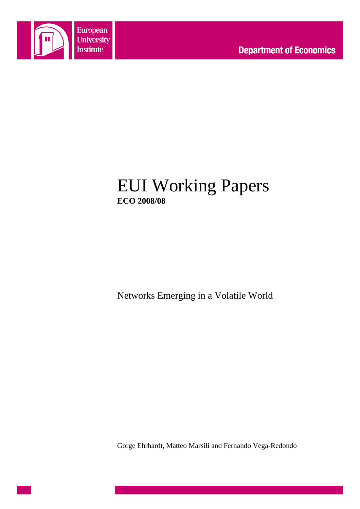

# EUI Working Papers **ECO 2008/08**

Networks Emerging in a Volatile World

Gorge Ehrhardt, Matteo Marsili and Fernando Vega-Redondo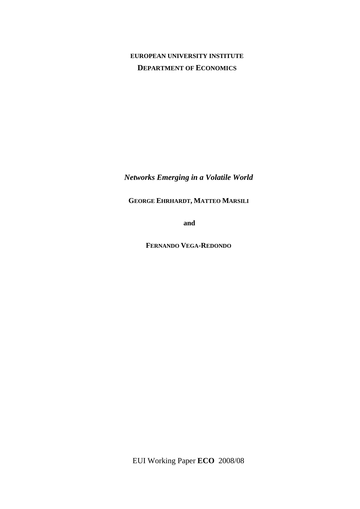## **EUROPEAN UNIVERSITY INSTITUTE DEPARTMENT OF ECONOMICS**

*Networks Emerging in a Volatile World*

**GEORGE EHRHARDT, MATTEO MARSILI**

**and**

**FERNANDO VEGA-REDONDO**

EUI Working Paper **ECO** 2008/08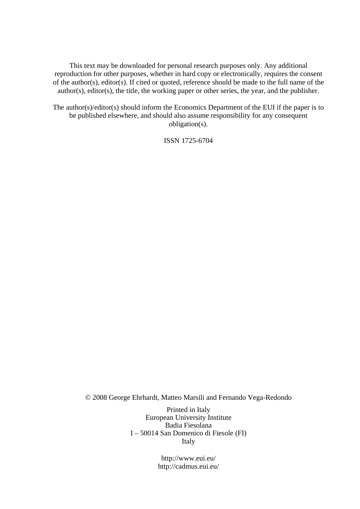This text may be downloaded for personal research purposes only. Any additional reproduction for other purposes, whether in hard copy or electronically, requires the consent of the author(s), editor(s). If cited or quoted, reference should be made to the full name of the author(s), editor(s), the title, the working paper or other series, the year, and the publisher.

The author(s)/editor(s) should inform the Economics Department of the EUI if the paper is to be published elsewhere, and should also assume responsibility for any consequent obligation(s).

ISSN 1725-6704

© 2008 George Ehrhardt, Matteo Marsili and Fernando Vega-Redondo

Printed in Italy European University Institute Badia Fiesolana I – 50014 San Domenico di Fiesole (FI) Italy

> http://www.eui.eu/ http://cadmus.eui.eu/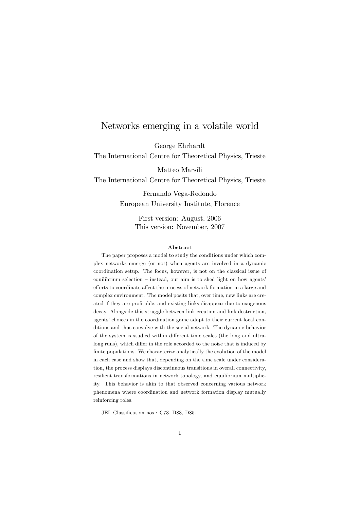### Networks emerging in a volatile world

George Ehrhardt

The International Centre for Theoretical Physics, Trieste

Matteo Marsili

The International Centre for Theoretical Physics, Trieste

Fernando Vega-Redondo European University Institute, Florence

> First version: August, 2006 This version: November, 2007

### Abstract

The paper proposes a model to study the conditions under which complex networks emerge (or not) when agents are involved in a dynamic coordination setup. The focus, however, is not on the classical issue of equilibrium selection - instead, our aim is to shed light on how agents' efforts to coordinate affect the process of network formation in a large and complex environment. The model posits that, over time, new links are created if they are profitable, and existing links disappear due to exogenous decay. Alongside this struggle between link creation and link destruction, agents' choices in the coordination game adapt to their current local conditions and thus coevolve with the social network. The dynamic behavior of the system is studied within different time scales (the long and ultralong runs), which differ in the role accorded to the noise that is induced by finite populations. We characterize analytically the evolution of the model in each case and show that, depending on the time scale under consideration, the process displays discontinuous transitions in overall connectivity, resilient transformations in network topology, and equilibrium multiplicity. This behavior is akin to that observed concerning various network phenomena where coordination and network formation display mutually reinforcing roles.

JEL Classification nos.: C73, D83, D85.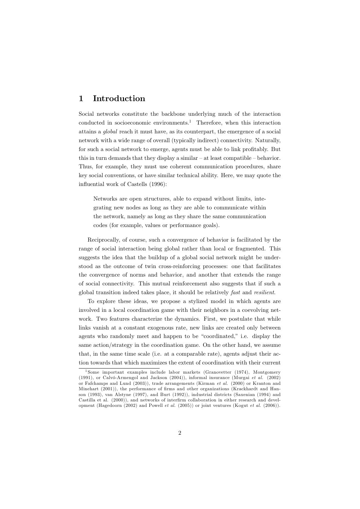#### Introduction 1

Social networks constitute the backbone underlying much of the interaction conducted in socioeconomic environments.<sup>1</sup> Therefore, when this interaction attains a *qlobal* reach it must have, as its counterpart, the emergence of a social network with a wide range of overall (typically indirect) connectivity. Naturally, for such a social network to emerge, agents must be able to link profitably. But this in turn demands that they display a similar  $-$  at least compatible  $-$  behavior. Thus, for example, they must use coherent communication procedures, share key social conventions, or have similar technical ability. Here, we may quote the influential work of Castells (1996):

Networks are open structures, able to expand without limits, integrating new nodes as long as they are able to communicate within the network, namely as long as they share the same communication codes (for example, values or performance goals).

Reciprocally, of course, such a convergence of behavior is facilitated by the range of social interaction being global rather than local or fragmented. This suggests the idea that the buildup of a global social network might be understood as the outcome of twin cross-reinforcing processes: one that facilitates the convergence of norms and behavior, and another that extends the range of social connectivity. This mutual reinforcement also suggests that if such a global transition indeed takes place, it should be relatively fast and resilient.

To explore these ideas, we propose a stylized model in which agents are involved in a local coordination game with their neighbors in a coevolving network. Two features characterize the dynamics. First, we postulate that while links vanish at a constant exogenous rate, new links are created only between agents who randomly meet and happen to be "coordinated," i.e. display the same action/strategy in the coordination game. On the other hand, we assume that, in the same time scale (i.e. at a comparable rate), agents adjust their action towards that which maximizes the extent of coordination with their current

<sup>&</sup>lt;sup>1</sup>Some important examples include labor markets (Granovetter  $(1974)$ , Montgomery  $(1991)$ , or Calvó-Armengol and Jackson  $(2004)$ ), informal insurance (Murgai et al.  $(2002)$ ) or Fafchamps and Lund (2003)), trade arrangements (Kirman et al. (2000) or Kranton and Minehart (2001)), the performance of firms and other organizations (Krackhardt and Hanson (1993), van Alstyne (1997), and Burt (1992)), industrial districts (Saxenian (1994) and Castilla et al. (2000)), and networks of interfirm collaboration in either research and development (Hagedoorn  $(2002)$  and Powell *et al.*  $(2005)$ ) or joint ventures (Kogut *et al.*  $(2006)$ ).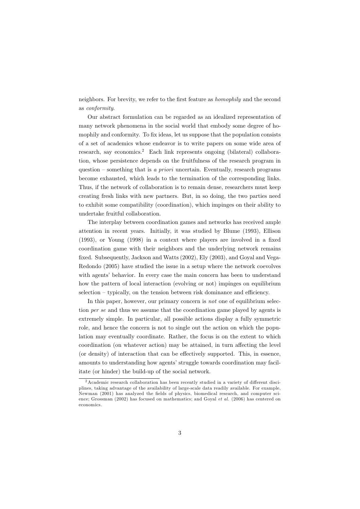neighbors. For brevity, we refer to the first feature as *homophily* and the second as *conformity*.

Our abstract formulation can be regarded as an idealized representation of many network phenomena in the social world that embody some degree of homophily and conformity. To fix ideas, let us suppose that the population consists of a set of academics whose endeavor is to write papers on some wide area of research, say economics.<sup>2</sup> Each link represents ongoing (bilateral) collaboration, whose persistence depends on the fruitfulness of the research program in question – something that is a priori uncertain. Eventually, research programs become exhausted, which leads to the termination of the corresponding links. Thus, if the network of collaboration is to remain dense, researchers must keep creating fresh links with new partners. But, in so doing, the two parties need to exhibit some compatibility (coordination), which impinges on their ability to undertake fruitful collaboration.

The interplay between coordination games and networks has received ample attention in recent years. Initially, it was studied by Blume (1993), Ellison  $(1993)$ , or Young  $(1998)$  in a context where players are involved in a fixed coordination game with their neighbors and the underlying network remains fixed. Subsequently, Jackson and Watts (2002), Ely (2003), and Goyal and Vega-Redondo (2005) have studied the issue in a setup where the network coevolves with agents' behavior. In every case the main concern has been to understand how the pattern of local interaction (evolving or not) impinges on equilibrium selection – typically, on the tension between risk dominance and efficiency.

In this paper, however, our primary concern is not one of equilibrium selection per se and thus we assume that the coordination game played by agents is extremely simple. In particular, all possible actions display a fully symmetric role, and hence the concern is not to single out the action on which the population may eventually coordinate. Rather, the focus is on the extent to which coordination (on whatever action) may be attained, in turn affecting the level (or density) of interaction that can be effectively supported. This, in essence, amounts to understanding how agents' struggle towards coordination may facilitate (or hinder) the build-up of the social network.

 $\frac{2}{3}$  Academic research collaboration has been recently studied in a variety of different disciplines, taking advantage of the availability of large-scale data readily available. For example, Newman (2001) has analyzed the fields of physics, biomedical research, and computer science; Grossman (2002) has focused on mathematics; and Goyal *et al.* (2006) has centered on economics.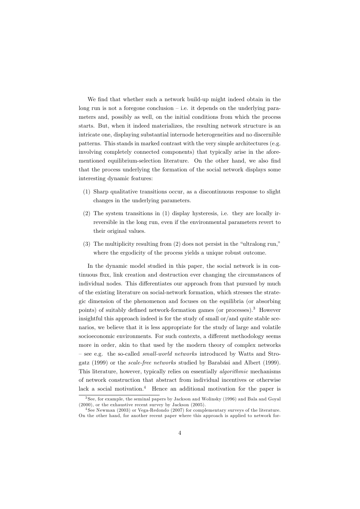We find that whether such a network build-up might indeed obtain in the long run is not a foregone conclusion  $-$  i.e. it depends on the underlying parameters and, possibly as well, on the initial conditions from which the process starts. But, when it indeed materializes, the resulting network structure is an intricate one, displaying substantial internode heterogeneities and no discernible patterns. This stands in marked contrast with the very simple architectures (e.g. involving completely connected components) that typically arise in the aforementioned equilibrium-selection literature. On the other hand, we also find that the process underlying the formation of the social network displays some interesting dynamic features:

- (1) Sharp qualitative transitions occur, as a discontinuous response to slight changes in the underlying parameters.
- $(2)$  The system transitions in  $(1)$  display hysteresis, i.e. they are locally irreversible in the long run, even if the environmental parameters revert to their original values.
- $(3)$  The multiplicity resulting from  $(2)$  does not persist in the "ultralong run," where the ergodicity of the process yields a unique robust outcome.

In the dynamic model studied in this paper, the social network is in continuous flux, link creation and destruction ever changing the circumstances of individual nodes. This differentiates our approach from that pursued by much of the existing literature on social-network formation, which stresses the strategic dimension of the phenomenon and focuses on the equilibria (or absorbing points) of suitably defined network-formation games (or processes).<sup>3</sup> However insightful this approach indeed is for the study of small or/and quite stable scenarios, we believe that it is less appropriate for the study of large and volatile socioeconomic environments. For such contexts, a different methodology seems more in order, akin to that used by the modern theory of complex networks - see e.g. the so-called *small-world networks* introduced by Watts and Strogatz (1999) or the *scale-free networks* studied by Barabási and Albert (1999). This literature, however, typically relies on essentially *algorithmic* mechanisms of network construction that abstract from individual incentives or otherwise lack a social motivation.<sup>4</sup> Hence an additional motivation for the paper is

 $3$  See, for example, the seminal papers by Jackson and Wolinsky (1996) and Bala and Goval  $(2000)$ , or the exhaustive recent survey by Jackson  $(2005)$ .

 $4$  See Newman (2003) or Vega-Redondo (2007) for complementary surveys of the literature. On the other hand, for another recent paper where this approach is applied to network for-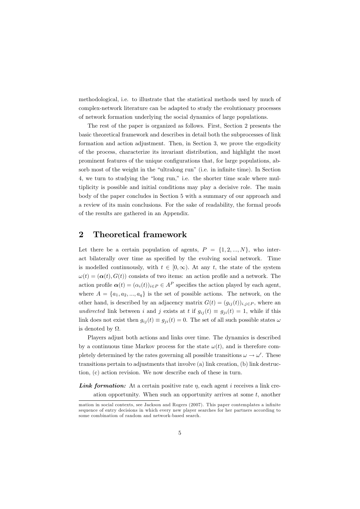methodological, i.e. to illustrate that the statistical methods used by much of complex-network literature can be adapted to study the evolutionary processes of network formation underlying the social dynamics of large populations.

The rest of the paper is organized as follows. First, Section 2 presents the basic theoretical framework and describes in detail both the subprocesses of link formation and action adjustment. Then, in Section 3, we prove the ergodicity of the process, characterize its invariant distribution, and highlight the most prominent features of the unique configurations that, for large populations, absorb most of the weight in the "ultralong run" (i.e. in infinite time). In Section 4, we turn to studying the "long run," i.e. the shorter time scale where multiplicity is possible and initial conditions may play a decisive role. The main body of the paper concludes in Section 5 with a summary of our approach and a review of its main conclusions. For the sake of readability, the formal proofs of the results are gathered in an Appendix.

#### $\overline{2}$ **Theoretical framework**

Let there be a certain population of agents,  $P = \{1, 2, ..., N\}$ , who interact bilaterally over time as specified by the evolving social network. Time is modelled continuously, with  $t \in [0, \infty)$ . At any t, the state of the system  $\omega(t) = (\alpha(t), G(t))$  consists of two items: an action profile and a network. The action profile  $\alpha(t) = (\alpha_i(t))_{i \in P} \in A^P$  specifies the action played by each agent, where  $A = \{a_1, a_2, ..., a_q\}$  is the set of possible actions. The network, on the other hand, is described by an adjacency matrix  $G(t) = (g_{ij}(t))_{i,j \in P}$ , where an undirected link between i and j exists at t if  $g_{ij}(t) \equiv g_{ji}(t) = 1$ , while if this link does not exist then  $g_{ij}(t) \equiv g_{ji}(t) = 0$ . The set of all such possible states  $\omega$ is denoted by  $\Omega$ .

Players adjust both actions and links over time. The dynamics is described by a continuous time Markov process for the state  $\omega(t)$ , and is therefore completely determined by the rates governing all possible transitions  $\omega \to \omega'$ . These transitions pertain to adjustments that involve (a) link creation, (b) link destruction, (c) action revision. We now describe each of these in turn.

**Link formation:** At a certain positive rate  $\eta$ , each agent i receives a link creation opportunity. When such an opportunity arrives at some  $t$ , another

mation in social contexts, see Jackson and Rogers (2007). This paper contemplates a infinite sequence of entry decisions in which every new player searches for her partners according to some combination of random and network-based search.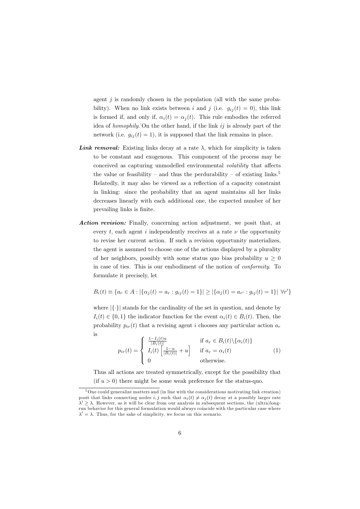agent  $j$  is randomly chosen in the population (all with the same probability). When no link exists between i and j (i.e.  $g_{ij}(t) = 0$ ), this link is formed if, and only if,  $\alpha_i(t) = \alpha_i(t)$ . This rule embodies the referred idea of *homophily*. On the other hand, if the link  $ij$  is already part of the network (i.e.  $g_{ij}(t) = 1$ ), it is supposed that the link remains in place.

- **Link removal:** Existing links decay at a rate  $\lambda$ , which for simplicity is taken to be constant and exogenous. This component of the process may be conceived as capturing unmodelled environmental volatility that affects the value or feasibility – and thus the perdurability – of existing links.<sup>5</sup> Relatedly, it may also be viewed as a reflection of a capacity constraint in linking: since the probability that an agent maintains all her links decreases linearly with each additional one, the expected number of her prevailing links is finite.
- Action revision: Finally, concerning action adjustment, we posit that, at every t, each agent i independently receives at a rate  $\nu$  the opportunity to revise her current action. If such a revision opportunity materializes, the agent is assumed to choose one of the actions displayed by a plurality of her neighbors, possibly with some status quo bias probability  $u > 0$ in case of ties. This is our embodiment of the notion of *conformity*. To formulate it precisely, let

$$
B_i(t) \equiv \{a_r \in A : |\{\alpha_j(t) = a_r : g_{ij}(t) = 1\}| \geq |\{\alpha_j(t) = a_{r'} : g_{ij}(t) = 1\}| \forall r'\}
$$

where  $|\{\cdot\}|$  stands for the cardinality of the set in question, and denote by  $I_i(t) \in \{0,1\}$  the indicator function for the event  $\alpha_i(t) \in B_i(t)$ . Then, the probability  $p_{ir}(t)$  that a revising agent i chooses any particular action  $a_r$ is

$$
p_{ir}(t) = \begin{cases} \frac{1 - I_i(t)u}{|B_i(t)|} & \text{if } a_r \in B_i(t) \setminus \{\alpha_i(t)\} \\ I_i(t) \left[\frac{1 - u}{|B_i(t)|} + u\right] & \text{if } a_r = \alpha_i(t) \\ 0 & \text{otherwise.} \end{cases}
$$
(1)

Thus all actions are treated symmetrically, except for the possibility that (if  $u > 0$ ) there might be some weak preference for the status-quo.

 $5$  One could generalize matters and (in line with the considerations motivating link creation) posit that links connecting nodes i, j such that  $\alpha_i(t) \neq \alpha_i(t)$  decay at a possibly larger rate  $\lambda' \geq \lambda$ . However, as it will be clear from our analysis in subsequent sections, the (ultra)longrun behavior for this general formulation would always coincide with the particular case where  $\lambda' = \lambda$ . Thus, for the sake of simplicity, we focus on this scenario.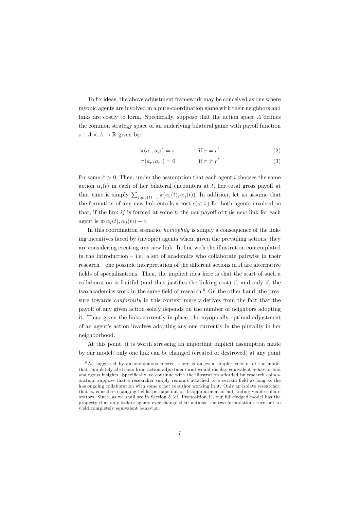To fix ideas, the above adjustment framework may be conceived as one where myopic agents are involved in a pure-coordination game with their neighbors and links are costly to form. Specifically, suppose that the action space A defines the common strategy space of an underlying bilateral game with payoff function  $\pi: A \times A \rightarrow \mathbb{R}$  given by:

$$
\pi(a_r, a_{r'}) = \bar{\pi} \qquad \qquad \text{if } r = r' \tag{2}
$$

$$
\pi(a_r, a_{r'}) = 0 \qquad \qquad \text{if } r \neq r' \tag{3}
$$

for some  $\bar{\pi} > 0$ . Then, under the assumption that each agent *i* chooses the same action  $\alpha_i(t)$  in each of her bilateral encounters at t, her total gross payoff at that time is simply  $\sum_{j:g_{ij}(t)=1} \pi(\alpha_i(t), \alpha_j(t))$ . In addition, let us assume that the formation of any new link entails a cost  $c(<\bar{\pi}$ ) for both agents involved so that, if the link  $ij$  is formed at some t, the net payoff of this new link for each agent is  $\pi(\alpha_i(t), \alpha_i(t)) - c$ .

In this coordination scenario, *homophily* is simply a consequence of the linking incentives faced by (myopic) agents when, given the prevailing actions, they are considering creating any new link. In line with the illustration contemplated in the Introduction  $-$  i.e. a set of academics who collaborate pairwise in their research – one possible interpretation of the different actions in  $A$  are alternative fields of specializations. Then, the implicit idea here is that the start of such a collaboration is fruitful (and thus justifies the linking cost) if, and only if, the two academics work in the same field of research.<sup>6</sup> On the other hand, the pressure towards *conformity* in this context merely derives from the fact that the payoff of any given action solely depends on the number of neighbors adopting it. Thus, given the links currently in place, the myopically optimal adjustment of an agent's action involves adopting any one currently in the plurality in her neighborhood.

At this point, it is worth stressing an important implicit assumption made by our model: only one link can be changed (created or destroyed) at any point

 $6$ As suggested by an anonymous referee, there is an even simpler version of the model that completely abstracts from action adjustment and would display equivalent behavior and analogous insights. Specifically, to continue with the illustration afforded by research collaboration, suppose that a researcher simply remains attached to a certain field as long as she has ongoing collaboration with some other coauthor working in it. Only an isolate researcher, that is, considers changing fields, perhaps out of disappointment of not finding viable collaborators. Since, as we shall see in Section 3 (cf. Proposition 1), our full-fledged model has the property that only isolate agents ever change their actions, the two formulations turn out to yield completely equivalent behavior.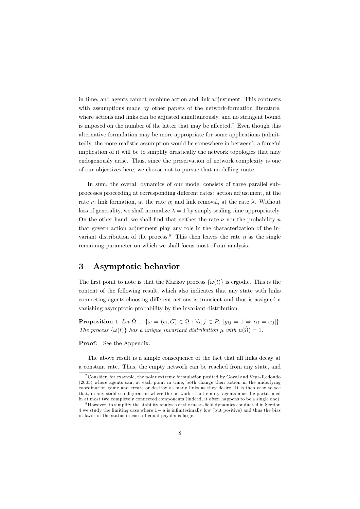in time, and agents cannot combine action and link adjustment. This contrasts with assumptions made by other papers of the network-formation literature, where actions and links can be adjusted simultaneously, and no stringent bound is imposed on the number of the latter that may be affected.<sup>7</sup> Even though this alternative formulation may be more appropriate for some applications (admittedly, the more realistic assumption would lie somewhere in between), a forceful implication of it will be to simplify drastically the network topologies that may endogenously arise. Thus, since the preservation of network complexity is one of our objectives here, we choose not to pursue that modelling route.

In sum, the overall dynamics of our model consists of three parallel subprocesses proceeding at corresponding different rates: action adjustment, at the rate  $\nu$ ; link formation, at the rate  $\eta$ ; and link removal, at the rate  $\lambda$ . Without loss of generality, we shall normalize  $\lambda = 1$  by simply scaling time appropriately. On the other hand, we shall find that neither the rate  $\nu$  nor the probability u that govern action adjustment play any role in the characterization of the invariant distribution of the process.<sup>8</sup> This then leaves the rate  $\eta$  as the single remaining parameter on which we shall focus most of our analysis.

#### 3 Asymptotic behavior

The first point to note is that the Markov process  $\{\omega(t)\}\$ is ergodic. This is the content of the following result, which also indicates that any state with links connecting agents choosing different actions is transient and thus is assigned a vanishing asymptotic probability by the invariant distribution.

**Proposition 1** Let  $\hat{\Omega} \equiv \{ \omega = (\alpha, G) \in \Omega : \forall i, j \in P, [g_{ij} = 1 \Rightarrow \alpha_i = \alpha_j] \}.$ The process  $\{\omega(t)\}\$  has a unique invariant distribution  $\mu$  with  $\mu(\hat{\Omega}) = 1$ .

Proof: See the Appendix.

The above result is a simple consequence of the fact that all links decay at a constant rate. Thus, the empty network can be reached from any state, and

<sup>&</sup>lt;sup>7</sup> Consider, for example, the polar extreme formulation posited by Goyal and Vega-Redondo  $(2005)$  where agents can, at each point in time, both change their action in the underlying coordination game and create or destroy as many links as they desire. It is then easy to see that, in any stable configuration where the network is not empty, agents must be partitioned in at most two completely connected components (indeed, it often happens to be a single one).

<sup>&</sup>lt;sup>8</sup> However, to simplify the stability analysis of the mean-field dynamics conducted in Section 4 we study the limiting case where  $1 - u$  is infinitesimally low (but positive) and thus the bias in favor of the status in case of equal payoffs is large.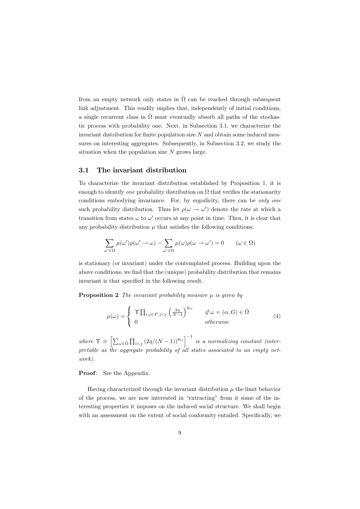from an empty network only states in  $\hat{\Omega}$  can be reached through subsequent link adjustment. This readily implies that, independently of initial conditions, a single recurrent class in  $\hat{\Omega}$  must eventually absorb all paths of the stochastic process with probability one. Next, in Subsection 3.1, we characterize the invariant distribution for finite population size  $N$  and obtain some induced measures on interesting aggregates. Subsequently, in Subsection 3.2, we study the situation when the population size  $N$  grows large.

#### $3.1$ The invariant distribution

To characterize the invariant distribution established by Proposition 1, it is enough to identify one probability distribution on  $\Omega$  that verifies the stationarity conditions embodying invariance. For, by ergodicity, there can be only one such probability distribution. Thus let  $\rho(\omega \to \omega')$  denote the rate at which a transition from states  $\omega$  to  $\omega'$  occurs at any point in time. Then, it is clear that any probability distribution  $\mu$  that satisfies the following conditions:

$$
\sum_{\omega' \in \Omega} \mu(\omega')\rho(\omega' \to \omega) - \sum_{\omega' \in \Omega} \mu(\omega)\rho(\omega \to \omega') = 0 \qquad (\omega \in \Omega)
$$

is stationary (or invariant) under the contemplated process. Building upon the above conditions, we find that the (unique) probability distribution that remains invariant is that specified in the following result.

**Proposition 2** The invariant probability measure  $\mu$  is given by

$$
\mu(\omega) = \begin{cases} \begin{array}{c} \Upsilon \prod_{i,j \in P, i & j \text{if } \omega = (\alpha, G) \in \hat{\Omega} \\ 0 & \text{otherwise} \end{array} \end{cases} (4)
$$

where  $\Upsilon \equiv \left[ \sum_{\omega \in \hat{\Omega}} \prod_{i < j} (2\eta/(N-1))^{g_{ij}} \right]^{-1}$  is a normalizing constant (interpretable as the aggregate probability of all states associated to an empty net $work$ ).

**Proof:** See the Appendix.

 $\epsilon$ 

Having characterized through the invariant distribution  $\mu$  the limit behavior of the process, we are now interested in "extracting" from it some of the interesting properties it imposes on the induced social structure. We shall begin with an assessment on the extent of social conformity entailed. Specifically, we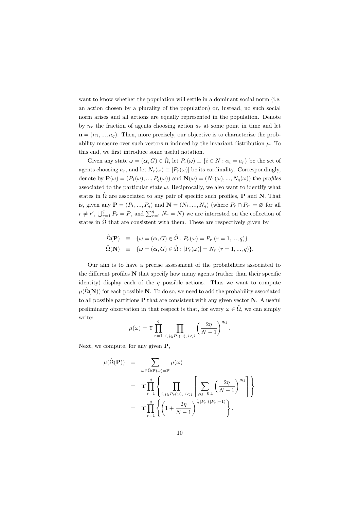want to know whether the population will settle in a dominant social norm (i.e. an action chosen by a plurality of the population) or, instead, no such social norm arises and all actions are equally represented in the population. Denote by  $n_r$  the fraction of agents choosing action  $a_r$  at some point in time and let  $\mathbf{n} = (n_1, ..., n_q)$ . Then, more precisely, our objective is to characterize the probability measure over such vectors **n** induced by the invariant distribution  $\mu$ . To this end, we first introduce some useful notation.

Given any state  $\omega = (\alpha, G) \in \Omega$ , let  $P_r(\omega) \equiv \{i \in N : \alpha_i = a_r\}$  be the set of agents choosing  $a_r$ , and let  $N_r(\omega) \equiv |P_r(\omega)|$  be its cardinality. Correspondingly, denote by  $\mathbf{P}(\omega) = (P_1(\omega), ..., P_q(\omega))$  and  $\mathbf{N}(\omega) = (N_1(\omega), ..., N_q(\omega))$  the profiles associated to the particular state  $\omega$ . Reciprocally, we also want to identify what states in  $\hat{\Omega}$  are associated to any pair of specific such profiles, **P** and **N**. That is, given any  $\mathbf{P} = (P_1, ..., P_q)$  and  $\mathbf{N} = (N_1, ..., N_q)$  (where  $P_r \cap P_{r'} = \emptyset$  for all  $r \neq r'$ ,  $\bigcup_{r=1}^{q} P_r = P$ , and  $\sum_{r=1}^{q} N_r = N$ ) we are interested on the collection of states in  $\hat{\Omega}$  that are consistent with them. These are respectively given by

$$
\begin{array}{rcl}\n\hat{\Omega}(\mathbf{P}) & \equiv & \{ \omega = (\alpha, G) \in \hat{\Omega} : P_r(\omega) = P_r \ (r = 1, \dots, q) \} \\
\hat{\Omega}(\mathbf{N}) & \equiv & \{ \omega = (\alpha, G) \in \hat{\Omega} : |P_r(\omega)| = N_r \ (r = 1, \dots, q) \}.\n\end{array}
$$

Our aim is to have a precise assessment of the probabilities associated to the different profiles  $N$  that specify how many agents (rather than their specific identity) display each of the  $q$  possible actions. Thus we want to compute  $\mu(\hat{\Omega}(\mathbf{N}))$  for each possible **N**. To do so, we need to add the probability associated to all possible partitions  $P$  that are consistent with any given vector  $N$ . A useful preliminary observation in that respect is that, for every  $\omega \in \hat{\Omega}$ , we can simply write:

$$
\mu(\omega) = \Upsilon \prod_{r=1}^q \prod_{i,j \in P_r(\omega), i < j} \left(\frac{2\eta}{N-1}\right)^{g_{ij}}.
$$

Next, we compute, for any given  $P$ ,

$$
\mu(\hat{\Omega}(\mathbf{P})) = \sum_{\omega \in \hat{\Omega}: \mathbf{P}(\omega) = \mathbf{P}} \mu(\omega)
$$
  
\n
$$
= \Upsilon \prod_{r=1}^{q} \left\{ \prod_{i,j \in P_r(\omega), i < j} \left[ \sum_{g_{ij}=0,1} \left( \frac{2\eta}{N-1} \right)^{g_{ij}} \right] \right\}
$$
  
\n
$$
= \Upsilon \prod_{r=1}^{q} \left\{ \left( 1 + \frac{2\eta}{N-1} \right)^{\frac{1}{2} |P_r|(|P_r| - 1)} \right\}.
$$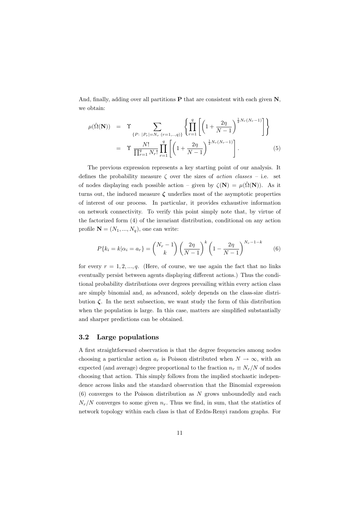And, finally, adding over all partitions  $P$  that are consistent with each given  $N$ , we obtain:

$$
\mu(\hat{\Omega}(\mathbf{N})) = \Upsilon \sum_{\{P: \ |P_r| = N_r} \binom{q}{r=1,\dots,q}\} \left\{ \prod_{r=1}^q \left[ \left( 1 + \frac{2\eta}{N-1} \right)^{\frac{1}{2} N_r(N_r-1)} \right] \right\}
$$
\n
$$
= \Upsilon \frac{N!}{\prod_{r=1}^q N_r!} \prod_{r=1}^q \left[ \left( 1 + \frac{2\eta}{N-1} \right)^{\frac{1}{2} N_r(N_r-1)} \right]. \tag{5}
$$

The previous expression represents a key starting point of our analysis. It defines the probability measure  $\zeta$  over the sizes of *action classes* – i.e. set of nodes displaying each possible action – given by  $\zeta(\mathbf{N}) = \mu(\hat{\Omega}(\mathbf{N}))$ . As it turns out, the induced measure  $\zeta$  underlies most of the asymptotic properties of interest of our process. In particular, it provides exhaustive information on network connectivity. To verify this point simply note that, by virtue of the factorized form  $(4)$  of the invariant distribution, conditional on any action profile  $N = (N_1, ..., N_a)$ , one can write:

$$
P\{k_i = k | \alpha_i = a_r\} = \binom{N_r - 1}{k} \left(\frac{2\eta}{N - 1}\right)^k \left(1 - \frac{2\eta}{N - 1}\right)^{N_r - 1 - k} \tag{6}
$$

for every  $r = 1, 2, ..., q$ . (Here, of course, we use again the fact that no links eventually persist between agents displaying different actions.) Thus the conditional probability distributions over degrees prevailing within every action class are simply binomial and, as advanced, solely depends on the class-size distribution  $\zeta$ . In the next subsection, we want study the form of this distribution when the population is large. In this case, matters are simplified substantially and sharper predictions can be obtained.

#### $3.2$ Large populations

A first straightforward observation is that the degree frequencies among nodes choosing a particular action  $a_r$  is Poisson distributed when  $N \to \infty$ , with an expected (and average) degree proportional to the fraction  $n_r \equiv N_r/N$  of nodes choosing that action. This simply follows from the implied stochastic independence across links and the standard observation that the Binomial expression  $(6)$  converges to the Poisson distribution as N grows unboundedly and each  $N_r/N$  converges to some given  $n_r$ . Thus we find, in sum, that the statistics of network topology within each class is that of Erdös-Renyi random graphs. For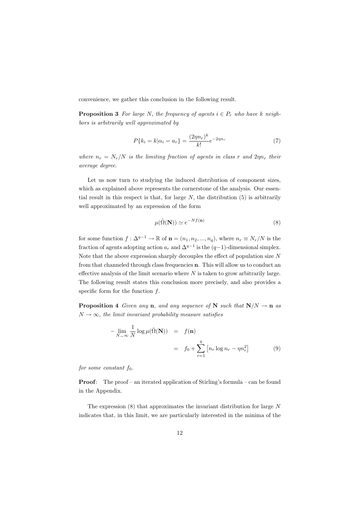convenience, we gather this conclusion in the following result.

**Proposition 3** For large N, the frequency of agents  $i \in P_r$  who have k neighbors is arbitrarily well approximated by

$$
P\{k_i = k | \alpha_i = a_r\} = \frac{(2\eta n_r)^k}{k!} e^{-2\eta n_r}
$$
\n(7)

where  $n_r = N_r/N$  is the limiting fraction of agents in class r and  $2\eta n_r$  their average degree.

Let us now turn to studying the induced distribution of component sizes, which as explained above represents the cornerstone of the analysis. Our essential result in this respect is that, for large  $N$ , the distribution  $(5)$  is arbitrarily well approximated by an expression of the form

$$
\mu(\hat{\Omega}(\mathbf{N})) \simeq e^{-Nf(\mathbf{n})} \tag{8}
$$

for some function  $f: \Delta^{q-1} \to \mathbb{R}$  of  $\mathbf{n} = (n_1, n_2, ..., n_q)$ , where  $n_r \equiv N_r/N$  is the fraction of agents adopting action  $a_r$  and  $\Delta^{q-1}$  is the  $(q-1)$ -dimensional simplex. Note that the above expression sharply decouples the effect of population size  $N$ from that channeled through class frequencies **n**. This will allow us to conduct an effective analysis of the limit scenario where  $N$  is taken to grow arbitrarily large. The following result states this conclusion more precisely, and also provides a specific form for the function  $f$ .

**Proposition 4** Given any **n**, and any sequence of **N** such that  $N/N \rightarrow n$  as  $N \rightarrow \infty$ , the limit invariant probability measure satisfies

$$
-\lim_{N \to \infty} \frac{1}{N} \log \mu(\hat{\Omega}(\mathbf{N})) = f(\mathbf{n})
$$
  
=  $f_0 + \sum_{r=1}^{q} \left[ n_r \log n_r - \eta n_r^2 \right]$  (9)

for some constant  $f_0$ .

**Proof:** The proof – an iterated application of Stirling's formula – can be found in the Appendix.

The expression  $(8)$  that approximates the invariant distribution for large N indicates that, in this limit, we are particularly interested in the minima of the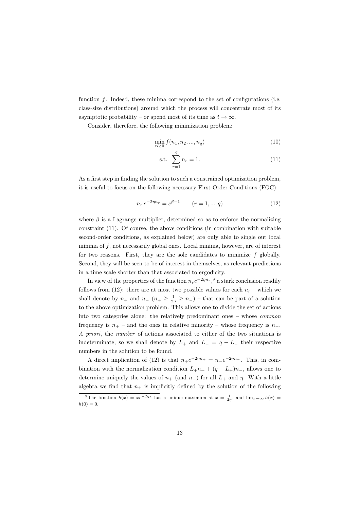function  $f$ . Indeed, these minima correspond to the set of configurations (i.e. class-size distributions) around which the process will concentrate most of its asymptotic probability – or spend most of its time as  $t \to \infty$ .

Consider, therefore, the following minimization problem:

$$
\min_{n \ge 0} f(n_1, n_2, ..., n_q) \tag{10}
$$

s.t. 
$$
\sum_{r=1}^{q} n_r = 1.
$$
 (11)

As a first step in finding the solution to such a constrained optimization problem, it is useful to focus on the following necessary First-Order Conditions (FOC):

$$
n_r e^{-2\eta n_r} = e^{\beta - 1} \qquad (r = 1, ..., q)
$$
 (12)

where  $\beta$  is a Lagrange multiplier, determined so as to enforce the normalizing constraint (11). Of course, the above conditions (in combination with suitable second-order conditions, as explained below) are only able to single out local minima of  $f$ , not necessarily global ones. Local minima, however, are of interest for two reasons. First, they are the sole candidates to minimize  $f$  globally. Second, they will be seen to be of interest in themselves, as relevant predictions in a time scale shorter than that associated to ergodicity.

In view of the properties of the function  $n_r e^{-2\eta n_r}$ , a stark conclusion readily follows from (12): there are at most two possible values for each  $n_r$  – which we shall denote by  $n_+$  and  $n_ (n_+ \geq \frac{1}{2n} \geq n_-)$  - that can be part of a solution to the above optimization problem. This allows one to divide the set of actions into two categories alone: the relatively predominant ones  $-$  whose *common* frequency is  $n_{+}$  – and the ones in relative minority – whose frequency is  $n_{-}$ . A priori, the number of actions associated to either of the two situations is indeterminate, so we shall denote by  $L_{+}$  and  $L_{-} = q - L_{-}$  their respective numbers in the solution to be found.

A direct implication of (12) is that  $n_+e^{-2\eta n_+} = n_-e^{-2\eta n_-}$ . This, in combination with the normalization condition  $L_+n_+ + (q - L_+)n_-,$  allows one to determine uniquely the values of  $n_+$  (and  $n_-$ ) for all  $L_+$  and  $\eta$ . With a little algebra we find that  $n_+$  is implicitly defined by the solution of the following

<sup>&</sup>lt;sup>9</sup>The function  $h(x) = xe^{-2\eta x}$  has a unique maximum at  $x = \frac{1}{2n}$ , and  $\lim_{x\to\infty} h(x) =$  $h(0) = 0.$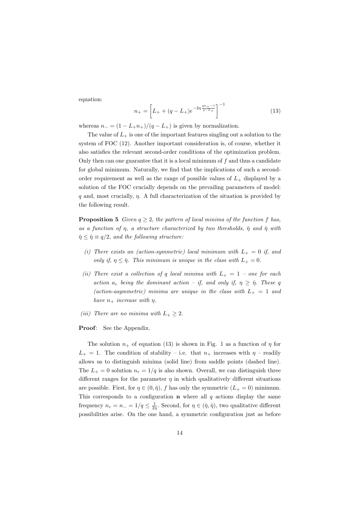equation:

$$
n_{+} = \left[L_{+} + (q - L_{+})e^{-2\eta \frac{qn_{+}-1}{q-L_{+}}}\right]^{-1}
$$
\n(13)

whereas  $n_{-} = (1 - L_{+}n_{+})/(q - L_{+})$  is given by normalization.

The value of  $L_{+}$  is one of the important features singling out a solution to the system of FOC (12). Another important consideration is, of course, whether it also satisfies the relevant second-order conditions of the optimization problem. Only then can one guarantee that it is a local minimum of  $f$  and thus a candidate for global minimum. Naturally, we find that the implications of such a secondorder requirement as well as the range of possible values of  $L_{+}$  displayed by a solution of the FOC crucially depends on the prevailing parameters of model:  $q$  and, most crucially,  $\eta$ . A full characterization of the situation is provided by the following result.

**Proposition 5** Given  $q \geq 2$ , the pattern of local minima of the function f has, as a function of  $\eta$ , a structure characterized by two thresholds,  $\tilde{\eta}$  and  $\hat{\eta}$  with  $\tilde{\eta} \leq \hat{\eta} \equiv q/2$ , and the following structure:

- (i) There exists an (action-symmetric) local minimum with  $L_{+} = 0$  if, and only if,  $\eta \leq \eta$ . This minimum is unique in the class with  $L_{+} = 0$ .
- (ii) There exist a collection of q local minima with  $L_{+} = 1$  one for each action  $a_r$  being the dominant action – if, and only if,  $\eta \geq \hat{\eta}$ . These q (action-asymmetric) minima are unique in the class with  $L_{+} = 1$  and have  $n_+$  increase with  $\eta$ .
- (iii) There are no minima with  $L_+ \geq 2$ .
- **Proof:** See the Appendix.

The solution  $n_+$  of equation (13) is shown in Fig. 1 as a function of  $\eta$  for  $L_{+} = 1$ . The condition of stability – i.e. that  $n_{+}$  increases with  $\eta$  – readily allows us to distinguish minima (solid line) from saddle points (dashed line). The  $L_{+} = 0$  solution  $n_r = 1/q$  is also shown. Overall, we can distinguish three different ranges for the parameter  $\eta$  in which qualitatively different situations are possible. First, for  $\eta \in (0, \tilde{\eta})$ , f has only the symmetric  $(L_{+} = 0)$  minimum. This corresponds to a configuration **n** where all  $q$  actions display the same frequency  $n_r = n_- = 1/q \leq \frac{1}{2n}$ . Second, for  $\eta \in (\tilde{\eta}, \hat{\eta})$ , two qualitative different possibilities arise. On the one hand, a symmetric configuration just as before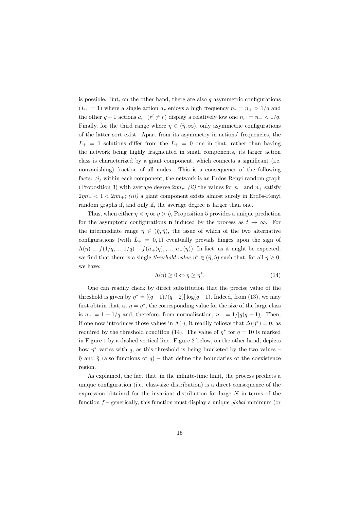is possible. But, on the other hand, there are also q asymmetric configurations  $(L_{+}=1)$  where a single action  $a_r$  enjoys a high frequency  $n_r = n_{+} > 1/q$  and the other  $q-1$  actions  $a_{r'}$   $(r' \neq r)$  display a relatively low one  $n_{r'} = n_- < 1/q$ . Finally, for the third range where  $\eta \in (\hat{\eta}, \infty)$ , only asymmetric configurations of the latter sort exist. Apart from its asymmetry in actions' frequencies, the  $L_{+} = 1$  solutions differ from the  $L_{+} = 0$  one in that, rather than having the network being highly fragmented in small components, its larger action class is characterized by a giant component, which connects a significant (i.e. nonvanishing) fraction of all nodes. This is a consequence of the following facts:  $(i)$  within each component, the network is an Erdös-Renyi random graph (Proposition 3) with average degree  $2\eta n_r$ ; *(ii)* the values for  $n_-$  and  $n_+$  satisfy  $2\eta n_- < 1 < 2\eta n_+$ ; *(iii)* a giant component exists almost surely in Erdös-Renyi random graphs if, and only if, the average degree is larger than one.

Thus, when either  $\eta < \tilde{\eta}$  or  $\eta > \hat{\eta}$ , Proposition 5 provides a unique prediction for the asymptotic configurations **n** induced by the process as  $t \to \infty$ . For the intermediate range  $\eta \in (\tilde{\eta}, \hat{\eta})$ , the issue of which of the two alternative configurations (with  $L_{+} = 0,1$ ) eventually prevails hinges upon the sign of  $\Lambda(\eta) \equiv f(1/q, ..., 1/q) - f(n_+(\eta), ..., n_-(\eta))$ . In fact, as it might be expected, we find that there is a single *threshold value*  $\eta^* \in (\tilde{\eta}, \hat{\eta})$  such that, for all  $\eta \geq 0$ , we have:

$$
\Lambda(\eta) \ge 0 \Leftrightarrow \eta \ge \eta^*.\tag{14}
$$

One can readily check by direct substitution that the precise value of the threshold is given by  $\eta^* = \frac{(q-1)}{(q-2)} \log(q-1)$ . Indeed, from (13), we may first obtain that, at  $\eta = \eta^*$ , the corresponding value for the size of the large class is  $n_+ = 1 - 1/q$  and, therefore, from normalization,  $n_- = 1/[q(q-1)]$ . Then, if one now introduces those values in  $\Lambda(\cdot)$ , it readily follows that  $\Delta(\eta^*)=0$ , as required by the threshold condition (14). The value of  $\eta^*$  for  $q = 10$  is marked in Figure 1 by a dashed vertical line. Figure 2 below, on the other hand, depicts how  $\eta^*$  varies with q, as this threshold is being bracketed by the two values –  $\tilde{\eta}$  and  $\hat{\eta}$  (also functions of q) – that define the boundaries of the coexistence region.

As explained, the fact that, in the infinite-time limit, the process predicts a unique configuration (i.e. class-size distribution) is a direct consequence of the expression obtained for the invariant distribution for large  $N$  in terms of the function  $f$  – generically, this function must display a unique global minimum (or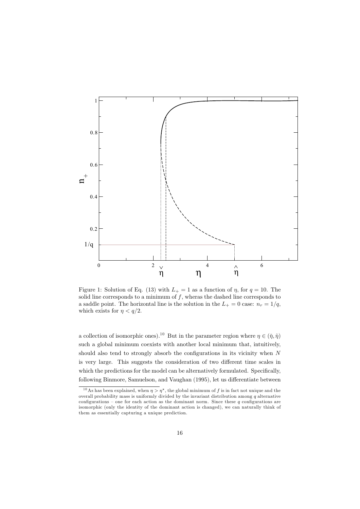

Figure 1: Solution of Eq. (13) with  $L_{+}=1$  as a function of  $\eta$ , for  $q=10$ . The solid line corresponds to a minimum of  $f$ , wheras the dashed line corresponds to a saddle point. The horizontal line is the solution in the  $L_{+} = 0$  case:  $n_r = 1/q$ , which exists for  $\eta < q/2$ .

a collection of isomorphic ones).<sup>10</sup> But in the parameter region where  $\eta \in (\tilde{\eta}, \hat{\eta})$ such a global minimum coexists with another local minimum that, intuitively, should also tend to strongly absorb the configurations in its vicinity when  $N$ is very large. This suggests the consideration of two different time scales in which the predictions for the model can be alternatively formulated. Specifically, following Binmore, Samuelson, and Vaughan (1995), let us differentiate between

<sup>&</sup>lt;sup>10</sup>As has been explained, when  $\eta > \eta^*$ , the global minimum of f is in fact not unique and the overall probability mass is uniformly divided by the invariant distribution among  $q$  alternative configurations – one for each action as the dominant norm. Since these  $q$  configurations are isomorphic (only the identity of the dominant action is changed), we can naturally think of them as essentially capturing a unique prediction.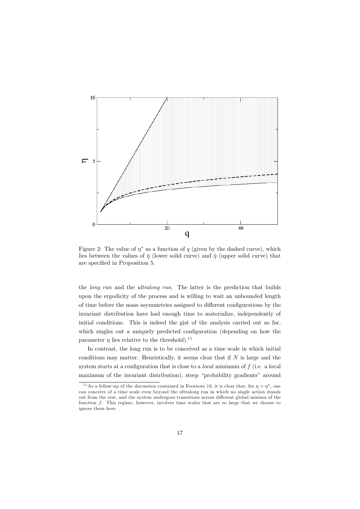

Figure 2: The value of  $\eta^*$  as a function of q (given by the dashed curve), which lies between the values of  $\eta$  (lower solid curve) and  $\hat{\eta}$  (upper solid curve) that are specified in Proposition 5.

the *long run* and the *ultralong run*. The latter is the prediction that builds upon the ergodicity of the process and is willing to wait an unbounded length of time before the mass asymmetries assigned to different configurations by the invariant distribution have had enough time to materialize, independently of initial conditions. This is indeed the gist of the analysis carried out so far, which singles out a uniquely predicted configuration (depending on how the parameter  $\eta$  lies relative to the threshold).<sup>11</sup>

In contrast, the long run is to be conceived as a time scale in which initial conditions may matter. Heuristically, it seems clear that if  $N$  is large and the system starts at a configuration that is close to a *local* minimum of  $f$  (i.e. a local maximum of the invariant distribution), steep "probability gradients" around

<sup>&</sup>lt;sup>11</sup>As a follow-up of the discussion contained in Footnote 10, it is clear that, for  $\eta > \eta^*$ , one can conceive of a time scale even beyond the ultralong run in which no single action stands out from the rest, and the system undergoes transitions across different global minima of the function f. This regime, however, involves time scales that are so large that we choose to ignore them here.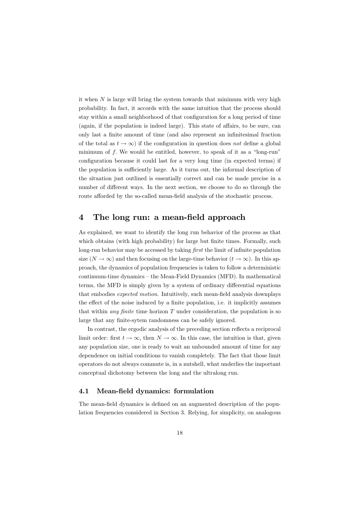it when  $N$  is large will bring the system towards that minimum with very high probability. In fact, it accords with the same intuition that the process should stay within a small neighborhood of that configuration for a long period of time (again, if the population is indeed large). This state of affairs, to be sure, can only last a finite amount of time (and also represent an infinitesimal fraction of the total as  $t \to \infty$  if the configuration in question does not define a global minimum of  $f$ . We would be entitled, however, to speak of it as a "long-run" configuration because it could last for a very long time (in expected terms) if the population is sufficiently large. As it turns out, the informal description of the situation just outlined is essentially correct and can be made precise in a number of different ways. In the next section, we choose to do so through the route afforded by the so-called mean-field analysis of the stochastic process.

#### $\overline{\mathbf{4}}$ The long run: a mean-field approach

As explained, we want to identify the long run behavior of the process as that which obtains (with high probability) for large but finite times. Formally, such long-run behavior may be accessed by taking *first* the limit of infinite population size  $(N \to \infty)$  and then focusing on the large-time behavior  $(t \to \infty)$ . In this approach, the dynamics of population frequencies is taken to follow a deterministic continuum-time dynamics – the Mean-Field Dynamics (MFD). In mathematical terms, the MFD is simply given by a system of ordinary differential equations that embodies *expected motion*. Intuitively, such mean-field analysis downplays the effect of the noise induced by a finite population, i.e. it implicitly assumes that within *any finite* time horizon  $T$  under consideration, the population is so large that any finite-sytem randomness can be safely ignored.

In contrast, the ergodic analysis of the preceding section reflects a reciprocal limit order: first  $t \to \infty$ , then  $N \to \infty$ . In this case, the intuition is that, given any population size, one is ready to wait an unbounded amount of time for any dependence on initial conditions to vanish completely. The fact that those limit operators do not always commute is, in a nutshell, what underlies the important conceptual dichotomy between the long and the ultralong run.

#### 4.1 Mean-field dynamics: formulation

The mean-field dynamics is defined on an augmented description of the population frequencies considered in Section 3. Relying, for simplicity, on analogous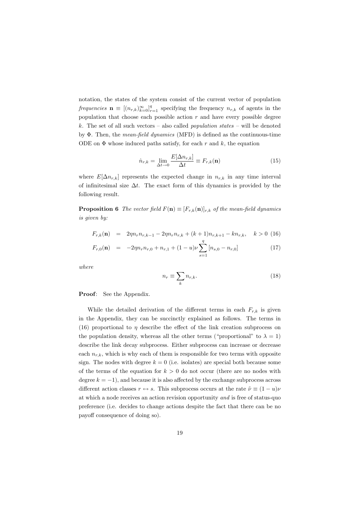notation, the states of the system consist of the current vector of population frequencies  $\mathbf{n} \equiv [(n_{r,k})_{k=0}^{\infty}]_{r=1}^q$  specifying the frequency  $n_{r,k}$  of agents in the population that choose each possible action  $r$  and have every possible degree k. The set of all such vectors – also called *population states* – will be denoted by  $\Phi$ . Then, the *mean-field dynamics* (MFD) is defined as the continuous-time ODE on  $\Phi$  whose induced paths satisfy, for each r and k, the equation

$$
\dot{n}_{r,k} = \lim_{\Delta t \to 0} \frac{E[\Delta n_{r,k}]}{\Delta t} \equiv F_{r,k}(\mathbf{n}) \tag{15}
$$

where  $E[\Delta n_{r,k}]$  represents the expected change in  $n_{r,k}$  in any time interval of infinitesimal size  $\Delta t$ . The exact form of this dynamics is provided by the following result.

**Proposition 6** The vector field  $F(\mathbf{n}) \equiv [F_{r,k}(\mathbf{n})]_{r,k}$  of the mean-field dynamics is given by:

$$
F_{r,k}(\mathbf{n}) = 2\eta n_r n_{r,k-1} - 2\eta n_r n_{r,k} + (k+1)n_{r,k+1} - k n_{r,k}, \quad k > 0 \tag{16}
$$

$$
F_{r,0}(\mathbf{n}) = -2\eta n_r n_{r,0} + n_{r,1} + (1-u)\nu \sum_{s=1}^{n} [n_{s,0} - n_{r,0}] \tag{17}
$$

 $where$ 

$$
n_r \equiv \sum_k n_{r,k}.\tag{18}
$$

Proof: See the Appendix.

While the detailed derivation of the different terms in each  $F_{r,k}$  is given in the Appendix, they can be succinctly explained as follows. The terms in (16) proportional to  $\eta$  describe the effect of the link creation subprocess on the population density, whereas all the other terms ("proportional" to  $\lambda = 1$ ) describe the link decay subprocess. Either subprocess can increase or decrease each  $n_{r,k}$ , which is why each of them is responsible for two terms with opposite sign. The nodes with degree  $k = 0$  (i.e. isolates) are special both because some of the terms of the equation for  $k > 0$  do not occur (there are no nodes with degree  $k = -1$ , and because it is also affected by the exchange subprocess across different action classes  $r \leftrightarrow s$ . This subprocess occurs at the rate  $\tilde{\nu} \equiv (1 - u)\nu$ at which a node receives an action revision opportunity and is free of status-quo preference (i.e. decides to change actions despite the fact that there can be no payoff consequence of doing so).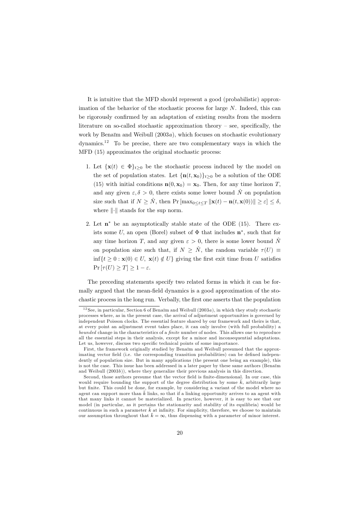It is intuitive that the MFD should represent a good (probabilistic) approximation of the behavior of the stochastic process for large  $N$ . Indeed, this can be rigorously confirmed by an adaptation of existing results from the modern literature on so-called stochastic approximation theory  $-$  see, specifically, the work by Benaïm and Weibull  $(2003a)$ , which focuses on stochastic evolutionary dynamics.<sup>12</sup> To be precise, there are two complementary ways in which the MFD (15) approximates the original stochastic process:

- 1. Let  $\{\mathbf{x}(t) \in \Phi\}_{t\geq 0}$  be the stochastic process induced by the model on the set of population states. Let  $\{\mathbf{n}(t,\mathbf{x}_0)\}_{t>0}$  be a solution of the ODE (15) with initial conditions  $\mathbf{n}(0, \mathbf{x}_0) = \mathbf{x}_0$ . Then, for any time horizon T, and any given  $\varepsilon, \delta > 0$ , there exists some lower bound  $\hat{N}$  on population size such that if  $N \geq \hat{N}$ , then  $\Pr[\max_{0 \leq t \leq T} ||\mathbf{x}(t) - \mathbf{n}(t, \mathbf{x}(0))|| \geq \varepsilon] \leq \delta$ , where  $\left\| \cdot \right\|$  stands for the sup norm.
- 2. Let  $\mathbf{n}^*$  be an asymptotically stable state of the ODE (15). There exists some U, an open (Borel) subset of  $\Phi$  that includes  $\mathbf{n}^*$ , such that for any time horizon T, and any given  $\varepsilon > 0$ , there is some lower bound  $\hat{N}$ on population size such that, if  $N \geq \hat{N}$ , the random variable  $\tau(U) \equiv$  $\inf\{t>0:\mathbf{x}(0)\in U,\mathbf{x}(t)\notin U\}$  giving the first exit time from U satisfies  $Pr[\tau(U) \geq T] \geq 1 - \varepsilon.$

The preceding statements specify two related forms in which it can be formally argued that the mean-field dynamics is a good approximation of the stochastic process in the long run. Verbally, the first one asserts that the population

<sup>&</sup>lt;sup>12</sup> See, in particular, Section 6 of Benaïm and Weibull (2003a), in which they study stochastic processes where, as in the present case, the arrival of adjustment opportunities is governed by independent Poisson clocks. The essential feature shared by our framework and theirs is that. at every point an adjustment event takes place, it can only involve (with full probability) a bounded change in the characteristics of a *finite* number of nodes. This allows one to reproduce all the essential steps in their analysis, except for a minor and inconsequential adaptations. Let us, however, discuss two specific technical points of some importance.

First, the framework originally studied by Benaïm and Weibull presumed that the approximating vector field (i.e. the corresponding transition probabilities) can be defined independently of population size. But in many applications (the present one being an example), this is not the case. This issue has been addressed in a later paper by these same authors (Benarm and Weibull  $(2003b)$ , where they generalize their previous analysis in this direction.

Second, those authors presume that the vector field is finite-dimensional. In our case, this would require bounding the support of the degree distribution by some  $\bar{k}$ , arbitrarily large but finite. This could be done, for example, by considering a variant of the model where no agent can support more than  $\bar{k}$  links, so that if a linking opportunity arrives to an agent with that many links it cannot be materialized. In practice, however, it is easy to see that our model (in particular, as it pertains the stationarity and stability of its equilibria) would be continuous in such a parameter  $\bar{k}$  at infinity. For simplicity, therefore, we choose to maintain our assumption throughout that  $\bar{k} = \infty$ , thus dispensing with a parameter of minor interest.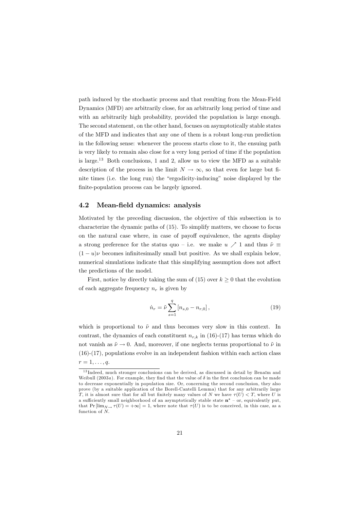path induced by the stochastic process and that resulting from the Mean-Field Dynamics (MFD) are arbitrarily close, for an arbitrarily long period of time and with an arbitrarily high probability, provided the population is large enough. The second statement, on the other hand, focuses on asymptotically stable states of the MFD and indicates that any one of them is a robust long-run prediction in the following sense: whenever the process starts close to it, the ensuing path is very likely to remain also close for a very long period of time if the population is large.<sup>13</sup> Both conclusions, 1 and 2, allow us to view the MFD as a suitable description of the process in the limit  $N \to \infty$ , so that even for large but finite times (i.e. the long run) the "ergodicity-inducing" noise displayed by the finite-population process can be largely ignored.

#### 4.2 Mean-field dynamics: analysis

Motivated by the preceding discussion, the objective of this subsection is to characterize the dynamic paths of  $(15)$ . To simplify matters, we choose to focus on the natural case where, in case of payoff equivalence, the agents display a strong preference for the status quo – i.e. we make  $u \nearrow 1$  and thus  $\tilde{\nu} \equiv$  $(1-u)\nu$  becomes infinitesimally small but positive. As we shall explain below, numerical simulations indicate that this simplifying assumption does not affect the predictions of the model.

First, notice by directly taking the sum of (15) over  $k \geq 0$  that the evolution of each aggregate frequency  $n_r$  is given by

$$
\dot{n}_r = \tilde{\nu} \sum_{s=1}^q \left[ n_{s,0} - n_{r,0} \right],\tag{19}
$$

which is proportional to  $\tilde{\nu}$  and thus becomes very slow in this context. In contrast, the dynamics of each constituent  $n_{rk}$  in (16)-(17) has terms which do not vanish as  $\tilde{\nu} \to 0$ . And, moreover, if one neglects terms proportional to  $\tilde{\nu}$  in  $(16)-(17)$ , populations evolve in an independent fashion within each action class  $r=1,\ldots,q.$ 

 $13$ Indeed, much stronger conclusions can be derived, as discussed in detail by Benaïm and Weibull (2003a). For example, they find that the value of  $\delta$  in the first conclusion can be made to decrease exponentially in population size. Or, concerning the second conclusion, they also prove (by a suitable application of the Borell-Cantelli Lemma) that for any arbitrarily large T, it is almost sure that for all but finitely many values of N we have  $\tau(U) < T$ , where U is a sufficiently small neighborhood of an asymptotically stable state  $\mathbf{n}^*$  – or, equivalently put, that  $Pr[\lim_{N\to \infty} \tau(U) = +\infty] = 1$ , where note that  $\tau(U)$  is to be conceived, in this case, as a function of  $N$ .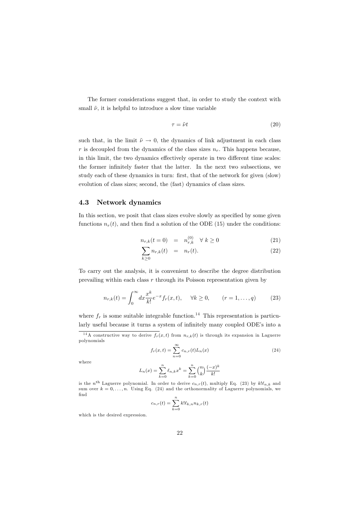The former considerations suggest that, in order to study the context with small  $\tilde{\nu}$ , it is helpful to introduce a slow time variable

$$
\tau = \tilde{\nu}t\tag{20}
$$

such that, in the limit  $\tilde{\nu} \to 0$ , the dynamics of link adjustment in each class r is decoupled from the dynamics of the class sizes  $n_r$ . This happens because, in this limit, the two dynamics effectively operate in two different time scales: the former infinitely faster that the latter. In the next two subsections, we study each of these dynamics in turn: first, that of the network for given (slow) evolution of class sizes; second, the (fast) dynamics of class sizes.

#### 4.3 Network dynamics

In this section, we posit that class sizes evolve slowly as specified by some given functions  $n_r(t)$ , and then find a solution of the ODE (15) under the conditions:

$$
n_{r,k}(t=0) = n_{r,k}^{(0)} \quad \forall \ k \ge 0 \tag{21}
$$

$$
\sum_{k>0} n_{r,k}(t) = n_r(t). \tag{22}
$$

To carry out the analysis, it is convenient to describe the degree distribution prevailing within each class  $r$  through its Poisson representation given by

$$
n_{r,k}(t) = \int_0^\infty dx \frac{x^k}{k!} e^{-x} f_r(x, t), \quad \forall k \ge 0, \qquad (r = 1, \dots, q) \tag{23}
$$

where  $f_r$  is some suitable integrable function.<sup>14</sup> This representation is particularly useful because it turns a system of infinitely many coupled ODE's into a

$$
f_r(x,t) = \sum_{n=0}^{\infty} c_{n,r}(t) L_n(x)
$$
\n(24)

where

$$
L_n(x) = \sum_{k=0}^{n} \ell_{n,k} x^k = \sum_{k=0}^{n} {n \choose k} \frac{(-x)^k}{k!}
$$

is the n<sup>th</sup> Laguerre polynomial. In order to derive  $c_{n,r}(t)$ , multiply Eq. (23) by  $k! \ell_{n,k}$  and sum over  $k = 0, \ldots, n$ . Using Eq. (24) and the orthonormality of Laguerre polynomials, we find

$$
c_{n,r}(t) = \sum_{k=0}^{n} k! \ell_{k,n} n_{k,r}(t)
$$

which is the desired expression.

<sup>&</sup>lt;sup>14</sup>A constructive way to derive  $f_r(x,t)$  from  $n_{r,k}(t)$  is through its expansion in Laguerre polynomials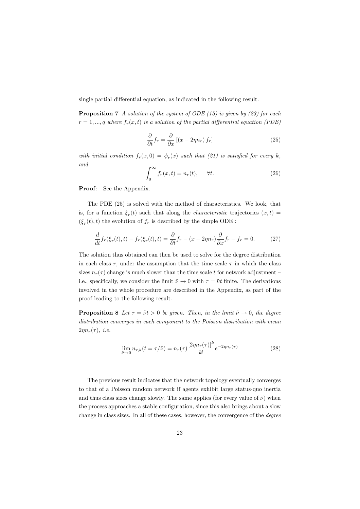single partial differential equation, as indicated in the following result.

**Proposition 7** A solution of the system of ODE (15) is given by (23) for each  $r = 1, ..., q$  where  $f_r(x, t)$  is a solution of the partial differential equation (PDE)

$$
\frac{\partial}{\partial t}f_r = \frac{\partial}{\partial x} \left[ (x - 2\eta n_r) f_r \right] \tag{25}
$$

with initial condition  $f_r(x,0) = \phi_r(x)$  such that (21) is satisfied for every k, and

$$
\int_0^\infty f_r(x,t) = n_r(t), \quad \forall t.
$$
 (26)

**Proof:** See the Appendix.

The PDE (25) is solved with the method of characteristics. We look, that is, for a function  $\xi_r(t)$  such that along the *characteristic* trajectories  $(x,t)$  $(\xi_r(t), t)$  the evolution of  $f_r$  is described by the simple ODE:

$$
\frac{d}{dt}f_r(\xi_r(t),t) - f_r(\xi_r(t),t) = \frac{\partial}{\partial t}f_r - (x - 2\eta n_r)\frac{\partial}{\partial x}f_r - f_r = 0.
$$
 (27)

The solution thus obtained can then be used to solve for the degree distribution in each class r, under the assumption that the time scale  $\tau$  in which the class sizes  $n_r(\tau)$  change is much slower than the time scale t for network adjustment – i.e., specifically, we consider the limit  $\tilde{\nu} \to 0$  with  $\tau = \tilde{\nu}t$  finite. The derivations involved in the whole procedure are described in the Appendix, as part of the proof leading to the following result.

**Proposition 8** Let  $\tau = \tilde{\nu}t > 0$  be given. Then, in the limit  $\tilde{\nu} \to 0$ , the degree distribution converges in each component to the Poisson distribution with mean  $2\eta n_r(\tau)$ , *i.e.* 

$$
\lim_{\tilde{\nu}\to 0} n_{r,k}(t=\tau/\tilde{\nu}) = n_r(\tau) \frac{[2\eta n_r(\tau)]^k}{k!} e^{-2\eta n_r(\tau)}
$$
\n(28)

The previous result indicates that the network topology eventually converges to that of a Poisson random network if agents exhibit large status-quo inertia and thus class sizes change slowly. The same applies (for every value of  $\tilde{\nu}$ ) when the process approaches a stable configuration, since this also brings about a slow change in class sizes. In all of these cases, however, the convergence of the *degree*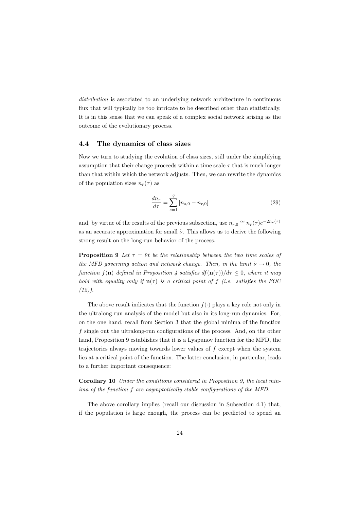*distribution* is associated to an underlying network architecture in continuous flux that will typically be too intricate to be described other than statistically. It is in this sense that we can speak of a complex social network arising as the outcome of the evolutionary process.

#### The dynamics of class sizes  $4.4$

Now we turn to studying the evolution of class sizes, still under the simplifying assumption that their change proceeds within a time scale  $\tau$  that is much longer than that within which the network adjusts. Then, we can rewrite the dynamics of the population sizes  $n_r(\tau)$  as

$$
\frac{dn_r}{d\tau} = \sum_{s=1}^{q} [n_{s,0} - n_{r,0}] \tag{29}
$$

and, by virtue of the results of the previous subsection, use  $n_{r,0} \approx n_r(\tau) e^{-2n_r(\tau)}$ as an accurate approximation for small  $\tilde{\nu}$ . This allows us to derive the following strong result on the long-run behavior of the process.

**Proposition 9** Let  $\tau = \tilde{\nu}t$  be the relationship between the two time scales of the MFD governing action and network change. Then, in the limit  $\tilde{\nu} \rightarrow 0$ , the function  $f(\mathbf{n})$  defined in Proposition 4 satisfies  $df(\mathbf{n}(\tau))/d\tau \leq 0$ , where it may hold with equality only if  $\mathbf{n}(\tau)$  is a critical point of f (i.e. satisfies the FOC  $(12)$ ).

The above result indicates that the function  $f(.)$  plays a key role not only in the ultralong run analysis of the model but also in its long-run dynamics. For, on the one hand, recall from Section 3 that the global minima of the function  $f$  single out the ultralong-run configurations of the process. And, on the other hand, Proposition 9 establishes that it is a Lyapunov function for the MFD, the trajectories always moving towards lower values of f except when the system lies at a critical point of the function. The latter conclusion, in particular, leads to a further important consequence:

**Corollary 10** Under the conditions considered in Proposition 9, the local minima of the function f are asymptotically stable configurations of the MFD.

The above corollary implies (recall our discussion in Subsection 4.1) that, if the population is large enough, the process can be predicted to spend an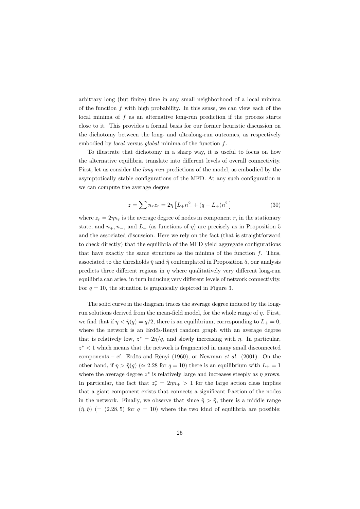arbitrary long (but finite) time in any small neighborhood of a local minima of the function  $f$  with high probability. In this sense, we can view each of the local minima of  $f$  as an alternative long-run prediction if the process starts close to it. This provides a formal basis for our former heuristic discussion on the dichotomy between the long- and ultralong-run outcomes, as respectively embodied by *local* versus *global* minima of the function f.

To illustrate that dichotomy in a sharp way, it is useful to focus on how the alternative equilibria translate into different levels of overall connectivity. First, let us consider the *long-run* predictions of the model, as embodied by the asymptotically stable configurations of the MFD. At any such configuration **n** we can compute the average degree

$$
z = \sum n_r z_r = 2\eta \left[ L_+ n_+^2 + (q - L_+) n_-^2 \right] \tag{30}
$$

where  $z_r = 2\eta n_r$  is the average degree of nodes in component r, in the stationary state, and  $n_+, n_-,$  and  $L_+$  (as functions of  $\eta$ ) are precisely as in Proposition 5 and the associated discussion. Here we rely on the fact (that is straightforward to check directly) that the equilibria of the MFD yield aggregate configurations that have exactly the same structure as the minima of the function  $f$ . Thus, associated to the thresholds  $\tilde{\eta}$  and  $\hat{\eta}$  contemplated in Proposition 5, our analysis predicts three different regions in  $\eta$  where qualitatively very different long-run equilibria can arise, in turn inducing very different levels of network connectivity. For  $q = 10$ , the situation is graphically depicted in Figure 3.

The solid curve in the diagram traces the average degree induced by the longrun solutions derived from the mean-field model, for the whole range of  $\eta$ . First, we find that if  $\eta < \hat{\eta}(q) = q/2$ , there is an equilibrium, corresponding to  $L_{+} = 0$ , where the network is an Erdös-Renyi random graph with an average degree that is relatively low,  $z^* = 2\eta/q$ , and slowly increasing with  $\eta$ . In particular,  $z^*$  < 1 which means that the network is fragmented in many small disconnected components – cf. Erdös and Rényi (1960), or Newman *et al.* (2001). On the other hand, if  $\eta > \eta(q)$  ( $\simeq 2.28$  for  $q = 10$ ) there is an equilibrium with  $L_{+} = 1$ where the average degree  $z^*$  is relatively large and increases steeply as  $\eta$  grows. In particular, the fact that  $z_r^* = 2\eta n_+ > 1$  for the large action class implies that a giant component exists that connects a significant fraction of the nodes in the network. Finally, we observe that since  $\hat{\eta} > \check{\eta}$ , there is a middle range  $(\check{\eta}, \hat{\eta})$  (= (2.28,5) for  $q = 10$ ) where the two kind of equilibria are possible: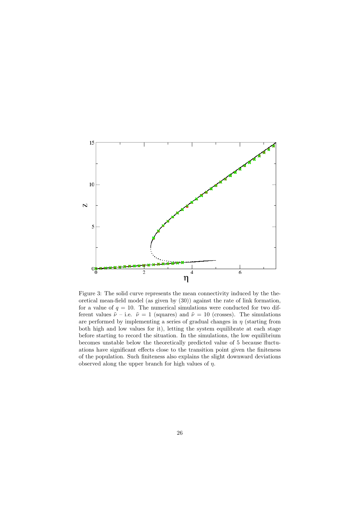

Figure 3: The solid curve represents the mean connectivity induced by the theoretical mean-field model (as given by (30)) against the rate of link formation, for a value of  $q = 10$ . The numerical simulations were conducted for two different values  $\tilde{\nu}$  – i.e.  $\tilde{\nu} = 1$  (squares) and  $\tilde{\nu} = 10$  (crosses). The simulations are performed by implementing a series of gradual changes in  $\eta$  (starting from both high and low values for it), letting the system equilibrate at each stage before starting to record the situation. In the simulations, the low equilibrium becomes unstable below the theoretically predicted value of 5 because fluctuations have significant effects close to the transition point given the finiteness of the population. Such finiteness also explains the slight downward deviations observed along the upper branch for high values of  $\eta$ .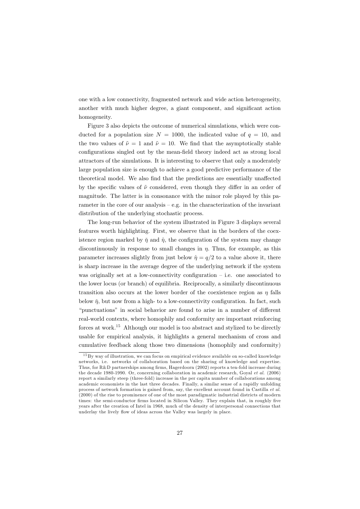one with a low connectivity, fragmented network and wide action heterogeneity, another with much higher degree, a giant component, and significant action homogeneity.

Figure 3 also depicts the outcome of numerical simulations, which were conducted for a population size  $N = 1000$ , the indicated value of  $q = 10$ , and the two values of  $\tilde{\nu} = 1$  and  $\tilde{\nu} = 10$ . We find that the asymptotically stable configurations singled out by the mean-field theory indeed act as strong local attractors of the simulations. It is interesting to observe that only a moderately large population size is enough to achieve a good predictive performance of the theoretical model. We also find that the predictions are essentially unaffected by the specific values of  $\tilde{\nu}$  considered, even though they differ in an order of magnitude. The latter is in consonance with the minor role played by this parameter in the core of our analysis  $-$  e.g. in the characterization of the invariant distribution of the underlying stochastic process.

The long-run behavior of the system illustrated in Figure 3 displays several features worth highlighting. First, we observe that in the borders of the coexistence region marked by  $\tilde{\eta}$  and  $\hat{\eta}$ , the configuration of the system may change discontinuously in response to small changes in  $\eta$ . Thus, for example, as this parameter increases slightly from just below  $\hat{\eta} = q/2$  to a value above it, there is sharp increase in the average degree of the underlying network if the system was originally set at a low-connectivity configuration  $-$  i.e. one associated to the lower locus (or branch) of equilibria. Reciprocally, a similarly discontinuous transition also occurs at the lower border of the coexistence region as  $\eta$  falls below  $\check{\eta}$ , but now from a high- to a low-connectivity configuration. In fact, such "punctuations" in social behavior are found to arise in a number of different real-world contexts, where homophily and conformity are important reinforcing forces at work.<sup>15</sup> Although our model is too abstract and stylized to be directly usable for empirical analysis, it highlights a general mechanism of cross and cumulative feedback along those two dimensions (homophily and conformity)

 $15\,\mathrm{By}$  way of illustration, we can focus on empirical evidence available on so-called knowledge networks, i.e. networks of collaboration based on the sharing of knowledge and expertise. Thus, for R&D partnerships among firms, Hagerdoorn (2002) reports a ten-fold increase during the decade 1980-1990. Or, concerning collaboration in academic research, Goyal et al. (2006) report a similarly steep (three-fold) increase in the per capita number of collaborations among academic economists in the last three decades. Finally, a similar sense of a rapidly unfolding process of network formation is gained from, say, the excellent account found in Castilla et al. (2000) of the rise to prominence of one of the most paradigmatic industrial districts of modern times: the semi-conductor firms located in Silicon Valley. They explain that, in roughly five years after the creation of Intel in 1968, much of the density of interpersonal connections that underlay the lively flow of ideas across the Valley was largely in place.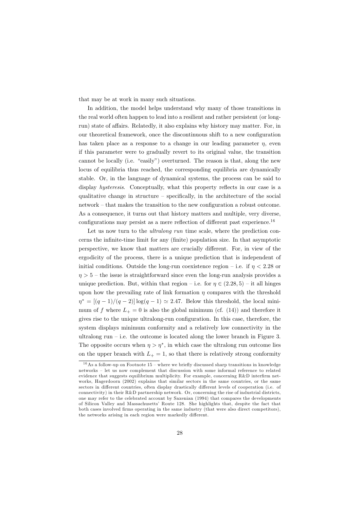that may be at work in many such situations.

In addition, the model helps understand why many of those transitions in the real world often happen to lead into a resilient and rather persistent (or longrun) state of affairs. Relatedly, it also explains why history may matter. For, in our theoretical framework, once the discontinuous shift to a new configuration has taken place as a response to a change in our leading parameter  $\eta$ , even if this parameter were to gradually revert to its original value, the transition cannot be locally (i.e. "easily") overturned. The reason is that, along the new locus of equilibria thus reached, the corresponding equilibria are dynamically stable. Or, in the language of dynamical systems, the process can be said to display hysteresis. Conceptually, what this property reflects in our case is a qualitative change in structure – specifically, in the architecture of the social network – that makes the transition to the new configuration a robust outcome. As a consequence, it turns out that history matters and multiple, very diverse, configurations may persist as a mere reflection of different past experience.<sup>16</sup>

Let us now turn to the *ultralong run* time scale, where the prediction concerns the infinite-time limit for any (finite) population size. In that asymptotic perspective, we know that matters are crucially different. For, in view of the ergodicity of the process, there is a unique prediction that is independent of initial conditions. Outside the long-run coexistence region – i.e. if  $\eta < 2.28$  or  $n > 5$  – the issue is straightforward since even the long-run analysis provides a unique prediction. But, within that region – i.e. for  $\eta \in (2.28, 5)$  – it all hinges upon how the prevailing rate of link formation  $\eta$  compares with the threshold  $\eta^* = \frac{(q-1)}{(q-2)} \log(q-1) \approx 2.47$ . Below this threshold, the local minimum of f where  $L_{+} = 0$  is also the global minimum (cf. (14)) and therefore it gives rise to the unique ultralong-run configuration. In this case, therefore, the system displays minimum conformity and a relatively low connectivity in the ultralong run  $-$  i.e. the outcome is located along the lower branch in Figure 3. The opposite occurs when  $\eta > \eta^*$ , in which case the ultralong run outcome lies on the upper branch with  $L_{+} = 1$ , so that there is relatively strong conformity

<sup>&</sup>lt;sup>16</sup>As a follow-up on Footnote 15 – where we briefly discussed sharp transitions in knowledge networks - let us now complement that discussion with some informal reference to related evidence that suggests equilibrium multiplicity. For example, concerning R&D interfirm networks, Hagerdoorn (2002) explains that similar sectors in the same countries, or the same sectors in different countries, often display drastically different levels of cooperation (i.e. of connectivity) in their R&D partnership network. Or, concerning the rise of industrial districts, one may refer to the celebrated account by Saxenian (1994) that compares the developments of Silicon Valley and Massachusetts' Route 128. She highlights that, despite the fact that both cases involved firms operating in the same industry (that were also direct competitors). the networks arising in each region were markedly different.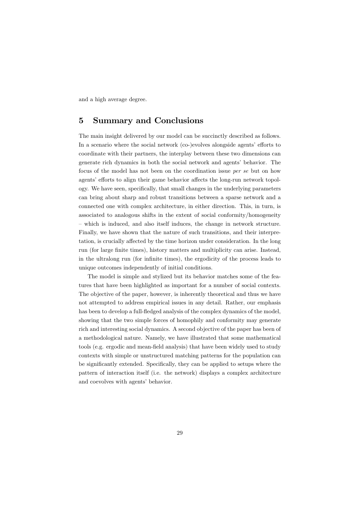and a high average degree.

#### **Summary and Conclusions** 5

The main insight delivered by our model can be succinctly described as follows. In a scenario where the social network (co-)evolves alongside agents' efforts to coordinate with their partners, the interplay between these two dimensions can generate rich dynamics in both the social network and agents' behavior. The focus of the model has not been on the coordination issue per se but on how agents' efforts to align their game behavior affects the long-run network topology. We have seen, specifically, that small changes in the underlying parameters can bring about sharp and robust transitions between a sparse network and a connected one with complex architecture, in either direction. This, in turn, is associated to analogous shifts in the extent of social conformity/homogeneity - which is induced, and also itself induces, the change in network structure. Finally, we have shown that the nature of such transitions, and their interpretation, is crucially affected by the time horizon under consideration. In the long run (for large finite times), history matters and multiplicity can arise. Instead, in the ultralong run (for infinite times), the ergodicity of the process leads to unique outcomes independently of initial conditions.

The model is simple and stylized but its behavior matches some of the features that have been highlighted as important for a number of social contexts. The objective of the paper, however, is inherently theoretical and thus we have not attempted to address empirical issues in any detail. Rather, our emphasis has been to develop a full-fledged analysis of the complex dynamics of the model, showing that the two simple forces of homophily and conformity may generate rich and interesting social dynamics. A second objective of the paper has been of a methodological nature. Namely, we have illustrated that some mathematical tools (e.g. ergodic and mean-field analysis) that have been widely used to study contexts with simple or unstructured matching patterns for the population can be significantly extended. Specifically, they can be applied to setups where the pattern of interaction itself (i.e. the network) displays a complex architecture and coevolves with agents' behavior.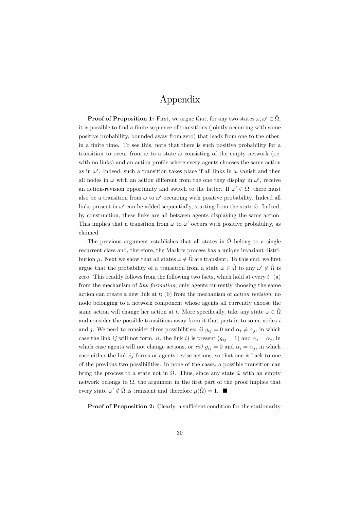## Appendix

**Proof of Proposition 1:** First, we argue that, for any two states  $\omega, \omega' \in \hat{\Omega}$ , it is possible to find a finite sequence of transitions (jointly occurring with some positive probability, bounded away from zero) that leads from one to the other, in a finite time. To see this, note that there is such positive probability for a transition to occur from  $\omega$  to a state  $\tilde{\omega}$  consisting of the empty network (i.e. with no links) and an action profile where every agents chooses the same action as in  $\omega'$ . Indeed, such a transition takes place if all links in  $\omega$  vanish and then all nodes in  $\omega$  with an action different from the one they display in  $\omega'$ , receive an action-revision opportunity and switch to the latter. If  $\omega' \in \hat{\Omega}$ , there must also be a transition from  $\tilde{\omega}$  to  $\omega'$  occurring with positive probability. Indeed all links present in  $\omega'$  can be added sequentially, starting from the state  $\tilde{\omega}$ . Indeed, by construction, these links are all between agents displaying the same action. This implies that a transition from  $\omega$  to  $\omega'$  occurs with positive probability, as claimed.

The previous argument establishes that all states in  $\hat{\Omega}$  belong to a single recurrent class and, therefore, the Markov process has a unique invariant distribution  $\mu$ . Next we show that all states  $\omega \notin \hat{\Omega}$  are transient. To this end, we first argue that the probability of a transition from a state  $\omega \in \hat{\Omega}$  to any  $\omega' \notin \hat{\Omega}$  is zero. This readily follows from the following two facts, which hold at every  $t: (a)$ from the mechanism of *link formation*, only agents currently choosing the same action can create a new link at  $t$ ; (b) from the mechanism of *action revision*, no node belonging to a network component whose agents all currently choose the same action will change her action at t. More specifically, take any state  $\omega \in \Omega$ and consider the possible transitions away from it that pertain to some nodes  $i$ and j. We need to consider three possibilities: i)  $g_{ij} = 0$  and  $\alpha_i \neq \alpha_j$ , in which case the link ij will not form, ii) the link ij is present  $(g_{ij} = 1)$  and  $\alpha_i = \alpha_j$ , in which case agents will not change actions, or *iii*)  $g_{ij} = 0$  and  $\alpha_i = \alpha_j$ , in which case either the link  $ij$  forms or agents revise actions, so that one is back to one of the previous two possibilities. In none of the cases, a possible transition can bring the process to a state not in  $\hat{\Omega}$ . Thus, since any state  $\tilde{\omega}$  with an empty network belongs to  $\hat{\Omega}$ , the argument in the first part of the proof implies that every state  $\omega' \notin \hat{\Omega}$  is transient and therefore  $\mu(\hat{\Omega}) = 1$ .

**Proof of Proposition 2:** Clearly, a sufficient condition for the stationarity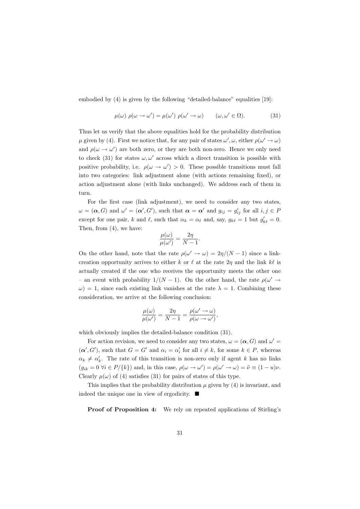embodied by  $(4)$  is given by the following "detailed-balance" equalities [19]:

$$
\mu(\omega) \ \rho(\omega \to \omega') = \mu(\omega') \ \rho(\omega' \to \omega) \qquad (\omega, \omega' \in \Omega). \tag{31}
$$

Thus let us verify that the above equalities hold for the probability distribution  $\mu$  given by (4). First we notice that, for any pair of states  $\omega', \omega$ , either  $\rho(\omega' \to \omega)$ and  $\rho(\omega \to \omega')$  are both zero, or they are both non-zero. Hence we only need to check (31) for states  $\omega, \omega'$  across which a direct transition is possible with positive probability, i.e.  $\rho(\omega \to \omega') > 0$ . These possible transitions must fall into two categories: link adjustment alone (with actions remaining fixed), or action adjustment alone (with links unchanged). We address each of them in turn.

For the first case (link adjustment), we need to consider any two states,  $\omega = (\alpha, G)$  and  $\omega' = (\alpha', G')$ , such that  $\alpha = \alpha'$  and  $g_{ij} = g'_{ij}$  for all  $i, j \in P$ except for one pair, k and  $\ell$ , such that  $\alpha_k = \alpha_\ell$  and, say,  $g_{k\ell} = 1$  but  $g'_{k\ell} = 0$ . Then, from  $(4)$ , we have:

$$
\frac{\mu(\omega)}{\mu(\omega')} = \frac{2\eta}{N-1}.
$$

On the other hand, note that the rate  $\rho(\omega' \to \omega) = 2\eta/(N-1)$  since a linkcreation opportunity arrives to either k or  $\ell$  at the rate  $2\eta$  and the link  $k\ell$  is actually created if the one who receives the opportunity meets the other one - an event with probability  $1/(N-1)$ . On the other hand, the rate  $\rho(\omega) \rightarrow$  $\omega$ ) = 1, since each existing link vanishes at the rate  $\lambda = 1$ . Combining these consideration, we arrive at the following conclusion:

$$
\frac{\mu(\omega)}{\mu(\omega')} = \frac{2\eta}{N-1} = \frac{\rho(\omega' \to \omega)}{\rho(\omega \to \omega')}.
$$

which obviously implies the detailed-balance condition (31).

For action revision, we need to consider any two states,  $\omega = (\alpha, G)$  and  $\omega' =$  $(\alpha', G')$ , such that  $G = G'$  and  $\alpha_i = \alpha'_i$  for all  $i \neq k$ , for some  $k \in P$ , whereas  $\alpha_k \neq \alpha'_k$ . The rate of this transition is non-zero only if agent k has no links  $(g_{ik} = 0 \ \forall i \in P/\{k\})$  and, in this case,  $\rho(\omega \to \omega') = \rho(\omega' \to \omega) = \tilde{\nu} \equiv (1 - u)\nu$ . Clearly  $\mu(\omega)$  of (4) satisfies (31) for pairs of states of this type.

This implies that the probability distribution  $\mu$  given by (4) is invariant, and indeed the unique one in view of ergodicity.  $\blacksquare$ 

**Proof of Proposition 4:** We rely on repeated applications of Stirling's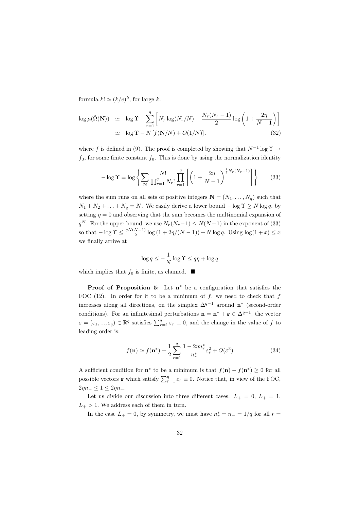formula  $k! \simeq (k/e)^k$ , for large k:

$$
\log \mu(\hat{\Omega}(\mathbf{N})) \simeq \log \Upsilon - \sum_{r=1}^{q} \left[ N_r \log(N_r/N) - \frac{N_r(N_r - 1)}{2} \log \left( 1 + \frac{2\eta}{N - 1} \right) \right]
$$
  
 
$$
\simeq \log \Upsilon - N \left[ f(\mathbf{N}/N) + O(1/N) \right]. \tag{32}
$$

where f is defined in (9). The proof is completed by showing that  $N^{-1}$  log  $\Upsilon \rightarrow$  $f_0$ , for some finite constant  $f_0$ . This is done by using the normalization identity

$$
-\log \Upsilon = \log \left\{ \sum_{\mathbf{N}} \frac{N!}{\prod_{r=1}^{q} N_r!} \prod_{r=1}^{q} \left[ \left( 1 + \frac{2\eta}{N-1} \right)^{\frac{1}{2} N_r (N_r - 1)} \right] \right\}
$$
(33)

where the sum runs on all sets of positive integers  $\mathbf{N} = (N_1, \ldots, N_q)$  such that  $N_1 + N_2 + \ldots + N_q = N$ . We easily derive a lower bound  $-\log \Upsilon \ge N \log q$ , by setting  $\eta = 0$  and observing that the sum becomes the multinomial expansion of  $q^N$ . For the upper bound, we use  $N_r(N_r-1) \leq N(N-1)$  in the exponent of (33) so that  $-\log \Upsilon \leq \frac{qN(N-1)}{2} \log (1 + 2\eta/(N-1)) + N \log q$ . Using  $\log(1+x) \leq x$ we finally arrive at

$$
\log q \le -\frac{1}{N}\log \Upsilon \le q\eta + \log q
$$

which implies that  $f_0$  is finite, as claimed.  $\blacksquare$ 

**Proof of Proposition 5:** Let  $n^*$  be a configuration that satisfies the FOC (12). In order for it to be a minimum of  $f$ , we need to check that  $f$ increases along all directions, on the simplex  $\Delta^{q-1}$  around  $\mathbf{n}^*$  (second-order conditions). For an infinitesimal perturbations  $\mathbf{n} = \mathbf{n}^* + \boldsymbol{\varepsilon} \in \Delta^{q-1}$ , the vector  $\boldsymbol{\varepsilon} = (\varepsilon_1, ..., \varepsilon_q) \in \mathbb{R}^q$  satisfies  $\sum_{r=1}^q \varepsilon_r \equiv 0$ , and the change in the value of f to leading order is:

$$
f(\mathbf{n}) \simeq f(\mathbf{n}^*) + \frac{1}{2} \sum_{r=1}^{q} \frac{1 - 2\eta n_r^*}{n_r^*} \varepsilon_r^2 + O(\varepsilon^3)
$$
 (34)

A sufficient condition for  $\mathbf{n}^*$  to be a minimum is that  $f(\mathbf{n}) - f(\mathbf{n}^*) \ge 0$  for all possible vectors  $\varepsilon$  which satisfy  $\sum_{r=1}^{q} \varepsilon_r \equiv 0$ . Notice that, in view of the FOC,  $2\eta n_- \leq 1 \leq 2\eta n_+$ .

Let us divide our discussion into three different cases:  $L_{+} = 0, L_{+} = 1,$  $L_{+}$  > 1. We address each of them in turn.

In the case  $L_+ = 0$ , by symmetry, we must have  $n_r^* = n_- = 1/q$  for all  $r =$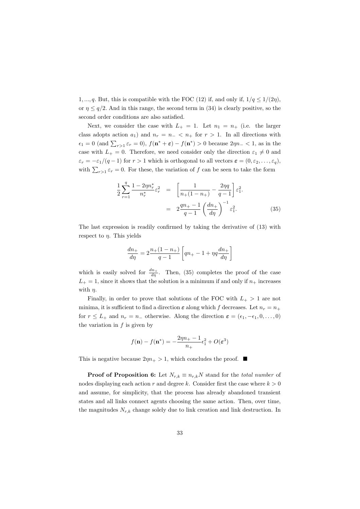1, ..., q. But, this is compatible with the FOC (12) if, and only if,  $1/q \le 1/(2\eta)$ , or  $\eta \leq q/2$ . And in this range, the second term in (34) is clearly positive, so the second order conditions are also satisfied.

Next, we consider the case with  $L_{+} = 1$ . Let  $n_1 = n_+$  (i.e. the larger class adopts action  $a_1$ ) and  $n_r = n_- < n_+$  for  $r > 1$ . In all directions with  $\epsilon_1 = 0$  (and  $\sum_{r>1} \epsilon_r = 0$ ),  $f(\mathbf{n}^* + \epsilon) - f(\mathbf{n}^*) > 0$  because  $2\eta n - < 1$ , as in the case with  $L_{+} = 0$ . Therefore, we need consider only the direction  $\varepsilon_1 \neq 0$  and  $\varepsilon_r = -\varepsilon_1/(q-1)$  for  $r > 1$  which is orthogonal to all vectors  $\varepsilon = (0, \varepsilon_2, \dots, \varepsilon_q)$ , with  $\sum_{r>1} \varepsilon_r = 0$ . For these, the variation of f can be seen to take the form

$$
\frac{1}{2} \sum_{r=1}^{q} \frac{1 - 2\eta n_r^*}{n_r^*} \varepsilon_r^2 = \left[ \frac{1}{n_+(1 - n_+)} - \frac{2\eta q}{q - 1} \right] \varepsilon_1^2.
$$
\n
$$
= 2 \frac{qn_+ - 1}{q - 1} \left( \frac{dn_+}{d\eta} \right)^{-1} \varepsilon_1^2.
$$
\n(35)

The last expression is readily confirmed by taking the derivative of  $(13)$  with respect to  $\eta$ . This yields

$$
\frac{dn_{+}}{d\eta} = 2\frac{n_{+}(1-n_{+})}{q-1} \left[ qn_{+} - 1 + \eta q \frac{dn_{+}}{d\eta} \right]
$$

which is easily solved for  $\frac{dn_+}{d\eta}$ . Then, (35) completes the proof of the case  $L_{+} = 1$ , since it shows that the solution is a minimum if and only if  $n_{+}$  increases with  $\eta$ .

Finally, in order to prove that solutions of the FOC with  $L_{+} > 1$  are not minima, it is sufficient to find a direction  $\varepsilon$  along which f decreases. Let  $n_r = n_+$ for  $r \leq L_+$  and  $n_r = n_-$  otherwise. Along the direction  $\varepsilon = (\epsilon_1, -\epsilon_1, 0, \dots, 0)$ the variation in  $f$  is given by

$$
f(\mathbf{n}) - f(\mathbf{n}^*) = -\frac{2\eta n_+ - 1}{n_+} \epsilon_1^2 + O(\varepsilon^3)
$$

This is negative because  $2\eta n_+ > 1$ , which concludes the proof.  $\blacksquare$ 

**Proof of Proposition 6:** Let  $N_{r,k} \equiv n_{r,k}N$  stand for the *total number* of nodes displaying each action r and degree k. Consider first the case where  $k > 0$ and assume, for simplicity, that the process has already abandoned transient states and all links connect agents choosing the same action. Then, over time, the magnitudes  $N_{r,k}$  change solely due to link creation and link destruction. In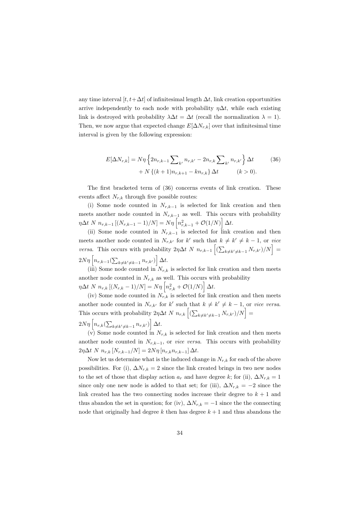any time interval  $[t, t + \Delta t]$  of infinitesimal length  $\Delta t$ , link creation opportunities arrive independently to each node with probability  $\eta \Delta t$ , while each existing link is destroyed with probability  $\lambda \Delta t = \Delta t$  (recall the normalization  $\lambda = 1$ ). Then, we now argue that expected change  $E[\Delta N_{r,k}]$  over that infinitesimal time interval is given by the following expression:

$$
E[\Delta N_{r,k}] = N\eta \left\{ 2n_{r,k-1} \sum_{k'} n_{r,k'} - 2n_{r,k} \sum_{k'} n_{r,k'} \right\} \Delta t \qquad (36)
$$

$$
+ N \left\{ (k+1)n_{r,k+1} - kn_{r,k} \right\} \Delta t \qquad (k > 0).
$$

The first bracketed term of (36) concerns events of link creation. These events affect  $N_{r,k}$  through five possible routes:

(i) Some node counted in  $N_{r,k-1}$  is selected for link creation and then meets another node counted in  $N_{r,k-1}$  as well. This occurs with probability  $\eta \Delta t \ N \ n_{r,k-1} [(N_{r,k-1}-1)/N] = N\eta \left[ n_{r,k-1}^2 + \mathcal{O}(1/N) \right] \Delta t.$ 

(ii) Some node counted in  $N_{r,k-1}$  is selected for link creation and then meets another node counted in  $N_{r,k'}$  for k' such that  $k \neq k' \neq k-1$ , or vice *versa.* This occurs with probability  $2\eta \Delta t$  N  $n_{r,k-1}$   $\left[ (\sum_{k \neq k' \neq k-1} N_{r,k'})/N \right]$  =  $2N\eta\left|n_{r,k-1}(\sum_{k\neq k'\neq k-1}n_{r,k'})\right|\Delta t.$ 

(iii) Some node counted in  $N_{r,k}$  is selected for link creation and then meets another node counted in  $N_{r,k}$  as well. This occurs with probability  $\eta \Delta t \; N \; n_{r,k} \left[ (N_{r,k} - 1)/N \right] = N \eta \; \left| n_{r,k}^2 + \mathcal{O}(1/N) \right| \Delta t.$ 

(iv) Some node counted in  $N_{r,k}$  is selected for link creation and then meets another node counted in  $N_{r,k'}$  for k' such that  $k \neq k' \neq k-1$ , or vice versa. This occurs with probability  $2\eta \Delta t N n_{r,k} \left[ \left( \sum_{k \neq k' \neq k-1} N_{r,k'} \right) / N \right] =$  $2N\eta\left|n_{r,k}\left(\sum_{k\neq k'\neq k-1}n_{r,k'}\right)\right|\Delta t.$ 

(v) Some node counted in  $N_{r,k}$  is selected for link creation and then meets another node counted in  $N_{r,k-1}$ , or *vice versa*. This occurs with probability  $2\eta \Delta t \ N \ n_{r,k} \ [N_{r,k-1}/N] = 2N\eta \ [n_{r,k} n_{r,k-1}] \ \Delta t.$ 

Now let us determine what is the induced change in  $N_{r,k}$  for each of the above possibilities. For (i),  $\Delta N_{r,k} = 2$  since the link created brings in two new nodes to the set of those that display action  $a_r$  and have degree k; for (ii),  $\Delta N_{r,k} = 1$ since only one new node is added to that set; for (iii),  $\Delta N_{r,k} = -2$  since the link created has the two connecting nodes increase their degree to  $k + 1$  and thus abandon the set in question; for (iv),  $\Delta N_{r,k} = -1$  since the the connecting node that originally had degree k then has degree  $k+1$  and thus abandons the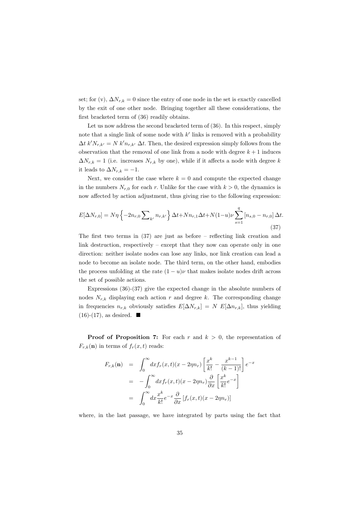set; for (v),  $\Delta N_{r,k} = 0$  since the entry of one node in the set is exactly cancelled by the exit of one other node. Bringing together all these considerations, the first bracketed term of (36) readily obtains.

Let us now address the second bracketed term of  $(36)$ . In this respect, simply note that a single link of some node with  $k'$  links is removed with a probability  $\Delta t \, k' N_{r,k'} = N \, k' n_{r,k'} \, \Delta t$ . Then, the desired expression simply follows from the observation that the removal of one link from a node with degree  $k+1$  induces  $\Delta N_{r,k} = 1$  (i.e. increases  $N_{r,k}$  by one), while if it affects a node with degree k it leads to  $\Delta N_{r,k} = -1$ .

Next, we consider the case where  $k = 0$  and compute the expected change in the numbers  $N_{r,0}$  for each r. Unlike for the case with  $k > 0$ , the dynamics is now affected by action adjustment, thus giving rise to the following expression:

$$
E[\Delta N_{r,0}] = N\eta \left\{ -2n_{r,0} \sum_{k'} n_{r,k'} \right\} \Delta t + Nn_{r,1} \Delta t + N(1-u)\nu \sum_{s=1}^{q} \left[ n_{s,0} - n_{r,0} \right] \Delta t
$$
\n(37)

The first two terms in  $(37)$  are just as before – reflecting link creation and link destruction, respectively – except that they now can operate only in one direction: neither isolate nodes can lose any links, nor link creation can lead a node to become an isolate node. The third term, on the other hand, embodies the process unfolding at the rate  $(1 - u)\nu$  that makes isolate nodes drift across the set of possible actions.

Expressions  $(36)-(37)$  give the expected change in the absolute numbers of nodes  $N_{r,k}$  displaying each action r and degree k. The corresponding change in frequencies  $n_{r,k}$  obviously satisfies  $E[\Delta N_{r,k}] = N E[\Delta n_{r,k}]$ , thus yielding  $(16)-(17)$ , as desired.  $\blacksquare$ 

**Proof of Proposition 7:** For each r and  $k > 0$ , the representation of  $F_{r,k}(\mathbf{n})$  in terms of  $f_r(x,t)$  reads:

$$
F_{r,k}(\mathbf{n}) = \int_0^\infty dx f_r(x,t)(x - 2\eta n_r) \left[ \frac{x^k}{k!} - \frac{x^{k-1}}{(k-1)!} \right] e^{-x}
$$
  

$$
= -\int_0^\infty dx f_r(x,t)(x - 2\eta n_r) \frac{\partial}{\partial x} \left[ \frac{x^k}{k!} e^{-x} \right]
$$
  

$$
= \int_0^\infty dx \frac{x^k}{k!} e^{-x} \frac{\partial}{\partial x} \left[ f_r(x,t)(x - 2\eta n_r) \right]
$$

where, in the last passage, we have integrated by parts using the fact that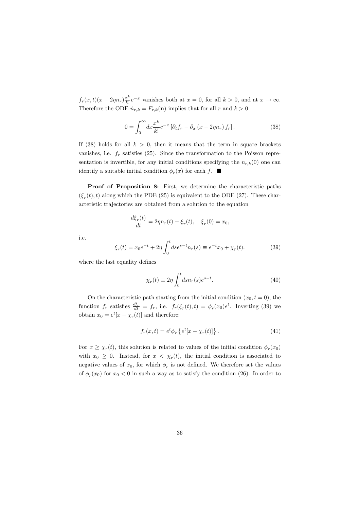$f_r(x,t)(x-2\eta n_r)\frac{x^k}{k!}e^{-x}$  vanishes both at  $x=0$ , for all  $k>0$ , and at  $x\to\infty$ . Therefore the ODE  $\dot{n}_{r,k} = F_{r,k}(\mathbf{n})$  implies that for all r and  $k > 0$ 

$$
0 = \int_0^\infty dx \frac{x^k}{k!} e^{-x} \left[ \partial_t f_r - \partial_x \left( x - 2\eta n_r \right) f_r \right]. \tag{38}
$$

If (38) holds for all  $k > 0$ , then it means that the term in square brackets vanishes, i.e.  $f_r$  satisfies (25). Since the transformation to the Poisson representation is invertible, for any initial conditions specifying the  $n_{r,k}(0)$  one can identify a suitable initial condition  $\phi_r(x)$  for each f.  $\blacksquare$ 

Proof of Proposition 8: First, we determine the characteristic paths  $(\xi_r(t), t)$  along which the PDE (25) is equivalent to the ODE (27). These characteristic trajectories are obtained from a solution to the equation

$$
\frac{d\xi_r(t)}{dt} = 2\eta n_r(t) - \xi_r(t), \quad \xi_r(0) = x_0
$$

i.e.

$$
\xi_r(t) = x_0 e^{-t} + 2\eta \int_0^t ds e^{s-t} n_r(s) \equiv e^{-t} x_0 + \chi_r(t).
$$
 (39)

where the last equality defines

$$
\chi_r(t) \equiv 2\eta \int_0^t ds n_r(s) e^{s-t}.\tag{40}
$$

On the characteristic path starting from the initial condition  $(x_0, t = 0)$ , the function  $f_r$  satisfies  $\frac{df_r}{dt} = f_r$ , i.e.  $f_r(\xi_r(t), t) = \phi_r(x_0)e^t$ . Inverting (39) we obtain  $x_0 = e^t[x - \chi_r(t)]$  and therefore:

$$
f_r(x,t) = e^t \phi_r \left\{ e^t [x - \chi_r(t)] \right\}.
$$
 (41)

For  $x \geq \chi_r(t)$ , this solution is related to values of the initial condition  $\phi_r(x_0)$ with  $x_0 \geq 0$ . Instead, for  $x < \chi_r(t)$ , the initial condition is associated to negative values of  $x_0$ , for which  $\phi_r$  is not defined. We therefore set the values of  $\phi_r(x_0)$  for  $x_0 < 0$  in such a way as to satisfy the condition (26). In order to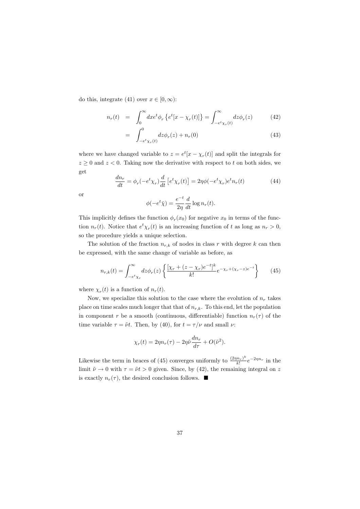do this, integrate (41) over  $x \in [0, \infty)$ :

$$
n_r(t) = \int_0^\infty dx e^t \phi_r \left\{ e^t [x - \chi_r(t)] \right\} = \int_{-e^t \chi_r(t)}^\infty dz \phi_r(z) \tag{42}
$$

$$
= \int_{-e^t \chi_r(t)}^0 dz \phi_r(z) + n_r(0) \tag{43}
$$

where we have changed variable to  $z = e^t[x - \chi_r(t)]$  and split the integrals for  $z \geq 0$  and  $z < 0$ . Taking now the derivative with respect to t on both sides, we get

$$
\frac{dn_r}{dt} = \phi_r(-e^t \chi_r) \frac{d}{dt} \left[ e^t \chi_r(t) \right] = 2\eta \phi(-e^t \chi_r) e^t n_r(t) \tag{44}
$$

<sub>or</sub>

$$
\phi(-e^t \bar{\chi}) = \frac{e^{-t}}{2\eta} \frac{d}{dt} \log n_r(t).
$$

This implicitly defines the function  $\phi_r(x_0)$  for negative  $x_0$  in terms of the function  $n_r(t)$ . Notice that  $e^t \chi_r(t)$  is an increasing function of t as long as  $n_r > 0$ , so the procedure yields a unique selection.

The solution of the fraction  $n_{r,k}$  of nodes in class r with degree k can then be expressed, with the same change of variable as before, as

$$
n_{r,k}(t) = \int_{-e^t \chi_r}^{\infty} dz \phi_r(z) \left\{ \frac{[\chi_r + (z - \chi_r)e^{-t}]^k}{k!} e^{-\chi_r + (\chi_r - z)e^{-t}} \right\}
$$
(45)

where  $\chi_r(t)$  is a function of  $n_r(t)$ .

Now, we specialize this solution to the case where the evolution of  $n_r$  takes place on time scales much longer that that of  $n_{r,k}$ . To this end, let the population in component r be a smooth (continuous, differentiable) function  $n_r(\tau)$  of the time variable  $\tau = \tilde{\nu}t$ . Then, by (40), for  $t = \tau/\nu$  and small  $\nu$ .

$$
\chi_r(t) = 2\eta n_r(\tau) - 2\eta \tilde{\nu} \frac{dn_r}{d\tau} + O(\tilde{\nu}^2).
$$

Likewise the term in braces of (45) converges uniformly to  $\frac{(2\eta n_r)^k}{k!}e^{-2\eta n_r}$  in the limit  $\tilde{\nu} \to 0$  with  $\tau = \tilde{\nu}t > 0$  given. Since, by (42), the remaining integral on z is exactly  $n_r(\tau)$ , the desired conclusion follows.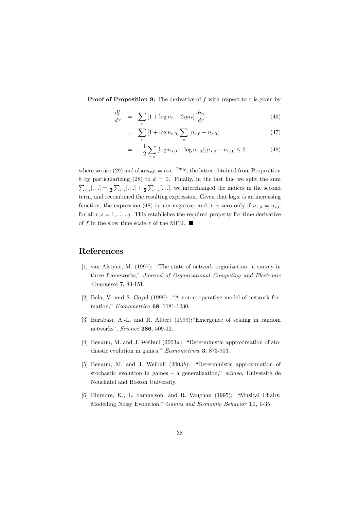**Proof of Proposition 9:** The derivative of f with respect to  $\tau$  is given by

$$
\frac{df}{d\tau} = \sum_{r} \left[ 1 + \log n_r - 2\eta n_r \right] \frac{dn_r}{d\tau} \tag{46}
$$

$$
= \sum_{r} [1 + \log n_{r,0}] \sum_{s} [n_{s,0} - n_{r,0}] \tag{47}
$$

$$
= -\frac{1}{2} \sum_{r,s} \left[ \log n_{s,0} - \log n_{r,0} \right] \left[ n_{s,0} - n_{r,0} \right] \le 0 \tag{48}
$$

where we use (29) and also  $n_{r,0} = n_r e^{-2\eta n_r}$ , the latter obtained from Proposition 8 by particularizing (28) to  $k = 0$ . Finally, in the last line we split the sum  $\sum_{r,s}$ [...] =  $\frac{1}{2}\sum_{r,s}$ [...] +  $\frac{1}{2}\sum_{r,s}$ [...], we interchanged the indices in the second term, and recombined the resulting expression. Given that  $\log x$  is an increasing function, the expression (48) is non-negative, and it is zero only if  $n_{r,0} = n_{s,0}$ for all  $r, s = 1, \ldots, q$ . This establishes the required property for time derivative of f in the slow time scale  $\tau$  of the MFD.  $\blacksquare$ 

### References

- [1] van Alstyne, M. (1997): "The state of network organization: a survey in three frameworks," Journal of Organizational Computing and Electronic Commerce 7, 83-151.
- [2] Bala, V. and S. Goyal (1999): "A non-cooperative model of network formation," Econometrica 68, 1181-1230.
- [3] Barabási, A.-L. and R. Albert (1999): "Emergence of scaling in random networks", Science 286, 509-12.
- [4] Benaïm, M. and J. Weibull  $(2003a)$ : "Deterministic approximation of stochastic evolution in games," *Econometrica* 3, 873-903.
- [5] Benaim, M. and J. Weibull (2003b): "Deterministic approximation of stochastic evolution in games - a generalization,"  $mimeo$ , Université de Neuchatel and Boston University.
- [6] Binmore, K., L. Samuelson, and R. Vaughan (1995): "Musical Chairs: Modelling Noisy Evolution," Games and Economic Behavior 11, 1-35.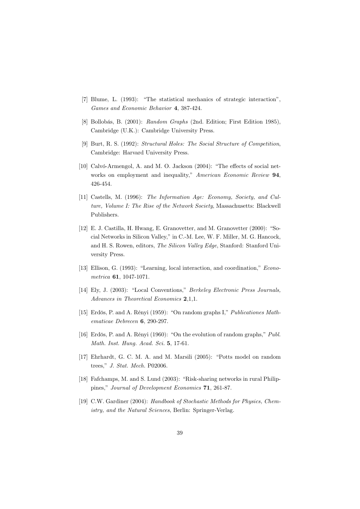- [7] Blume, L. (1993): "The statistical mechanics of strategic interaction", Games and Economic Behavior 4, 387-424.
- [8] Bollobás, B. (2001): Random Graphs (2nd. Edition; First Edition 1985), Cambridge (U.K.): Cambridge University Press.
- [9] Burt, R. S. (1992): Structural Holes: The Social Structure of Competition. Cambridge: Harvard University Press.
- [10] Calvó-Armengol, A. and M. O. Jackson (2004): "The effects of social networks on employment and inequality," American Economic Review 94, 426-454.
- [11] Castells, M. (1996): The Information Age: Economy, Society, and Culture, Volume I: The Rise of the Network Society, Massachusetts: Blackwell Publishers.
- [12] E. J. Castilla, H. Hwang, E. Granovetter, and M. Granovetter (2000): "Social Networks in Silicon Valley," in C.-M. Lee, W. F. Miller, M. G. Hancock, and H. S. Rowen, editors, The Silicon Valley Edge, Stanford: Stanford University Press.
- [13] Ellison, G. (1993): "Learning, local interaction, and coordination," *Econo*metrica 61, 1047-1071.
- [14] Elv. J. (2003): "Local Conventions," Berkeley Electronic Press Journals. Advances in Theoretical Economics 2.1.1.
- [15] Erdös, P. and A. Rényi (1959): "On random graphs I," Publicationes Mathematicae Debrecen 6, 290-297.
- [16] Erdös, P. and A. Rényi (1960): "On the evolution of random graphs," Publ. Math. Inst. Hung. Acad. Sci. 5, 17-61.
- [17] Ehrhardt, G. C. M. A. and M. Marsili (2005): "Potts model on random trees,"  $J.$  Stat. Mech. P02006.
- [18] Fafchamps, M. and S. Lund (2003): "Risk-sharing networks in rural Philippines," Journal of Development Economics 71, 261-87.
- [19] C.W. Gardiner (2004): Handbook of Stochastic Methods for Physics, Chemistry, and the Natural Sciences, Berlin: Springer-Verlag.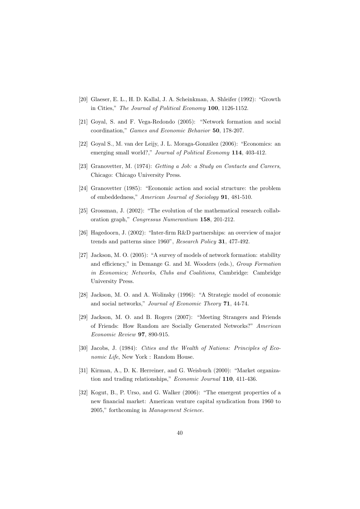- [20] Glaeser, E. L., H. D. Kallal, J. A. Scheinkman, A. Shleifer (1992): "Growth in Cities," The Journal of Political Economy 100, 1126-1152.
- [21] Goyal, S. and F. Vega-Redondo (2005): "Network formation and social coordination," Games and Economic Behavior 50, 178-207.
- [22] Goval S., M. van der Leijy, J. L. Moraga-González (2006): "Economics: an emerging small world?," Journal of Political Economy 114, 403-412.
- [23] Granovetter, M. (1974): Getting a Job: a Study on Contacts and Careers, Chicago: Chicago University Press.
- [24] Granovetter (1985): "Economic action and social structure: the problem of embeddedness," American Journal of Sociology 91, 481-510.
- [25] Grossman, J.  $(2002)$ : "The evolution of the mathematical research collaboration graph," Congressus Numerantium 158, 201-212.
- [26] Hagedoorn, J. (2002): "Inter-firm R&D partnerships: an overview of major trends and patterns since 1960", Research Policy 31, 477-492.
- [27] Jackson, M. O. (2005): "A survey of models of network formation: stability and efficiency," in Demange G. and M. Wooders (eds.), Group Formation in Economics; Networks, Clubs and Coalitions, Cambridge: Cambridge University Press.
- [28] Jackson, M. O. and A. Wolinsky (1996): "A Strategic model of economic and social networks," Journal of Economic Theory 71, 44-74.
- [29] Jackson, M. O. and B. Rogers (2007): "Meeting Strangers and Friends of Friends: How Random are Socially Generated Networks?" American Economic Review 97, 890-915.
- [30] Jacobs, J. (1984): Cities and the Wealth of Nations: Principles of Eco- $\emph{nomic Life},$  New York : Random House.
- [31] Kirman, A., D. K. Herreiner, and G. Weisbuch (2000): "Market organization and trading relationships," Economic Journal 110, 411-436.
- [32] Kogut, B., P. Urso, and G. Walker (2006): "The emergent properties of a new financial market: American venture capital syndication from 1960 to 2005," forthcoming in Management Science.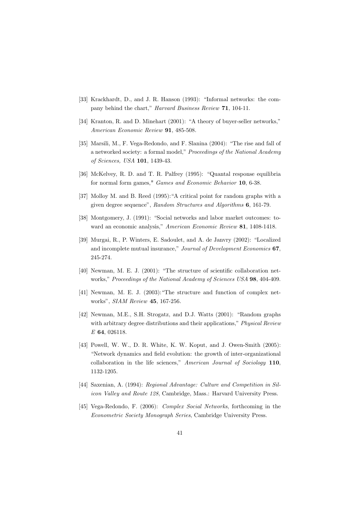- [33] Krackhardt, D., and J. R. Hanson (1993): "Informal networks: the company behind the chart," Harvard Business Review 71, 104-11.
- [34] Kranton, R. and D. Minehart (2001): "A theory of buyer-seller networks," American Economic Review 91, 485-508.
- [35] Marsili, M., F. Vega-Redondo, and F. Slanina (2004): "The rise and fall of a networked society: a formal model," Proceedings of the National Academy of Sciences, USA 101, 1439-43.
- [36] McKelvey, R. D. and T. R. Palfrey (1995): "Quantal response equilibria for normal form games," *Games and Economic Behavior* 10, 6-38.
- [37] Molloy M. and B. Reed (1995): "A critical point for random graphs with a given degree sequence", Random Structures and Algorithms 6, 161-79.
- [38] Montgomery, J. (1991): "Social networks and labor market outcomes: toward an economic analysis," American Economic Review 81, 1408-1418.
- [39] Murgai, R., P. Winters, E. Sadoulet, and A. de Janvry (2002): "Localized and incomplete mutual insurance," Journal of Development Economics 67. 245-274.
- [40] Newman, M. E. J. (2001): "The structure of scientific collaboration networks," Proceedings of the National Academy of Sciences USA 98, 404-409.
- [41] Newman, M. E. J. (2003): "The structure and function of complex networks", SIAM Review 45, 167-256.
- [42] Newman, M.E., S.H. Strogatz, and D.J. Watts (2001): "Random graphs with arbitrary degree distributions and their applications," Physical Review E 64, 026118.
- [43] Powell, W. W., D. R. White, K. W. Koput, and J. Owen-Smith (2005): "Network dynamics and field evolution: the growth of inter-organizational collaboration in the life sciences," American Journal of Sociology 110, 1132-1205.
- [44] Saxenian, A. (1994): Regional Advantage: Culture and Competition in Silicon Valley and Route 128, Cambridge, Mass.: Harvard University Press.
- [45] Vega-Redondo, F. (2006): *Complex Social Networks*, forthcoming in the Econometric Society Monograph Series, Cambridge University Press.